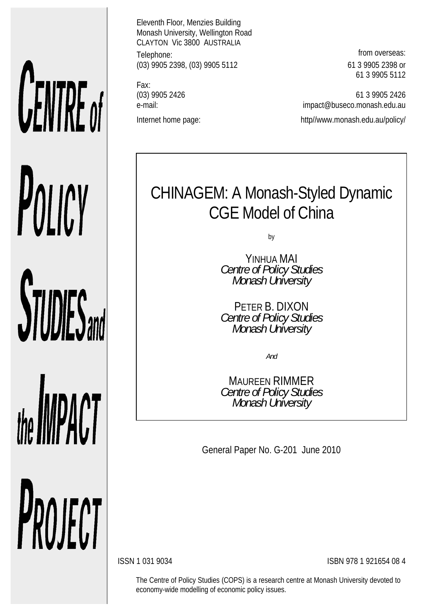# **CENTRE of** POLICY **STUDIES**

the **IMPACT** PROJECT Eleventh Floor, Menzies Building Monash University, Wellington Road CLAYTON Vic 3800 AUSTRALIA Telephone: **from overseas:** (03) 9905 2398, (03) 9905 5112 61 3 9905 2398 or

Fax:

61 3 9905 5112

(03) 9905 2426 61 3 9905 2426 e-mail: impact@buseco.monash.edu.au Internet home page: http://www.monash.edu.au/policy/

# CHINAGEM: A Monash-Styled Dynamic CGE Model of China

by

YINHUA MAI *Centre of Policy Studies Monash University* 

PETER B. DIXON *Centre of Policy Studies Monash University* 

*And* 

MAUREEN RIMMER *Centre of Policy Studies Monash University* 

General Paper No. G-201 June 2010

ISSN 1 031 9034 ISBN 978 1 921654 08 4

The Centre of Policy Studies (COPS) is a research centre at Monash University devoted to economy-wide modelling of economic policy issues.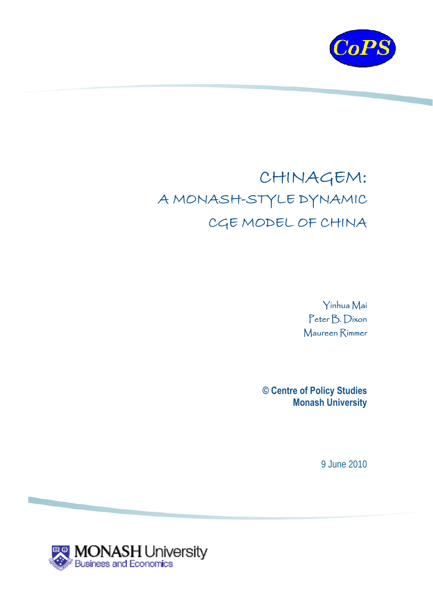

# CHINAGEM: A MONASH-STYLE DYNAMIC CGE MODEL OF CHINA

Yinhua Mai Peter B. Dixon Maureen Rimmer

**© Centre of Policy Studies Monash University** 

9 June 2010

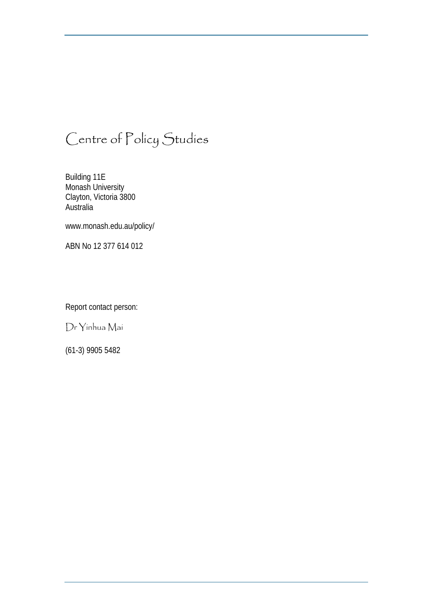# Centre of Policy Studies

Building 11E Monash University Clayton, Victoria 3800 **Australia** 

www.monash.edu.au/policy/

ABN No 12 377 614 012

Report contact person:

Dr Yinhua Mai

(61-3) 9905 5482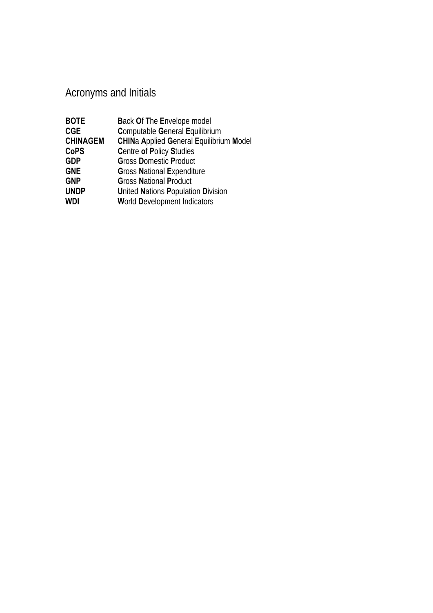## Acronyms and Initials

| <b>BOTE</b>     | <b>Back Of The Envelope model</b>              |
|-----------------|------------------------------------------------|
| <b>CGE</b>      | <b>Computable General Equilibrium</b>          |
| <b>CHINAGEM</b> | <b>CHINa Applied General Equilibrium Model</b> |
| <b>CoPS</b>     | <b>Centre of Policy Studies</b>                |
| <b>GDP</b>      | <b>Gross Domestic Product</b>                  |
| <b>GNE</b>      | <b>Gross National Expenditure</b>              |
| <b>GNP</b>      | <b>Gross National Product</b>                  |
| <b>UNDP</b>     | United Nations Population Division             |
| WDI             | <b>World Development Indicators</b>            |
|                 |                                                |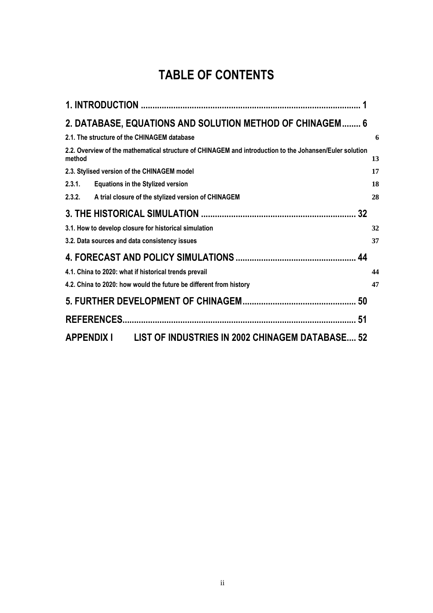## **TABLE OF CONTENTS**

| 2. DATABASE, EQUATIONS AND SOLUTION METHOD OF CHINAGEM 6                                                          |    |
|-------------------------------------------------------------------------------------------------------------------|----|
| 2.1. The structure of the CHINAGEM database                                                                       | 6  |
| 2.2. Overview of the mathematical structure of CHINAGEM and introduction to the Johansen/Euler solution<br>method | 13 |
| 2.3. Stylised version of the CHINAGEM model                                                                       | 17 |
| 2.3.1.<br><b>Equations in the Stylized version</b>                                                                | 18 |
| 2.3.2. A trial closure of the stylized version of CHINAGEM                                                        | 28 |
|                                                                                                                   |    |
| 3.1. How to develop closure for historical simulation                                                             | 32 |
| 3.2. Data sources and data consistency issues                                                                     | 37 |
|                                                                                                                   |    |
| 4.1. China to 2020: what if historical trends prevail                                                             | 44 |
| 4.2. China to 2020: how would the future be different from history                                                | 47 |
|                                                                                                                   |    |
|                                                                                                                   | 51 |
| LIST OF INDUSTRIES IN 2002 CHINAGEM DATABASE 52<br>APPENDIX I                                                     |    |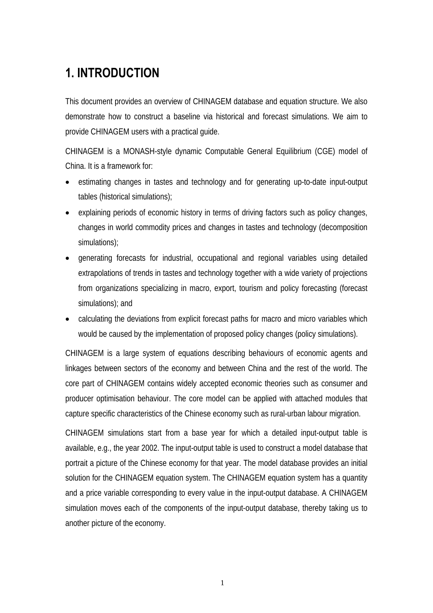## **1. INTRODUCTION**

This document provides an overview of CHINAGEM database and equation structure. We also demonstrate how to construct a baseline via historical and forecast simulations. We aim to provide CHINAGEM users with a practical guide.

CHINAGEM is a MONASH-style dynamic Computable General Equilibrium (CGE) model of China. It is a framework for:

- estimating changes in tastes and technology and for generating up-to-date input-output tables (historical simulations);
- explaining periods of economic history in terms of driving factors such as policy changes, changes in world commodity prices and changes in tastes and technology (decomposition simulations);
- generating forecasts for industrial, occupational and regional variables using detailed extrapolations of trends in tastes and technology together with a wide variety of projections from organizations specializing in macro, export, tourism and policy forecasting (forecast simulations); and
- calculating the deviations from explicit forecast paths for macro and micro variables which would be caused by the implementation of proposed policy changes (policy simulations).

CHINAGEM is a large system of equations describing behaviours of economic agents and linkages between sectors of the economy and between China and the rest of the world. The core part of CHINAGEM contains widely accepted economic theories such as consumer and producer optimisation behaviour. The core model can be applied with attached modules that capture specific characteristics of the Chinese economy such as rural-urban labour migration.

CHINAGEM simulations start from a base year for which a detailed input-output table is available, e.g., the year 2002. The input-output table is used to construct a model database that portrait a picture of the Chinese economy for that year. The model database provides an initial solution for the CHINAGEM equation system. The CHINAGEM equation system has a quantity and a price variable corresponding to every value in the input-output database. A CHINAGEM simulation moves each of the components of the input-output database, thereby taking us to another picture of the economy.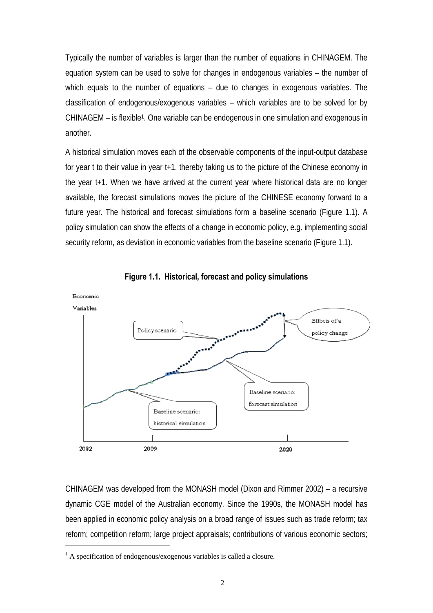Typically the number of variables is larger than the number of equations in CHINAGEM. The equation system can be used to solve for changes in endogenous variables – the number of which equals to the number of equations – due to changes in exogenous variables. The classification of endogenous/exogenous variables – which variables are to be solved for by CHINAGEM – is flexible1. One variable can be endogenous in one simulation and exogenous in another.

A historical simulation moves each of the observable components of the input-output database for year t to their value in year t+1, thereby taking us to the picture of the Chinese economy in the year t+1. When we have arrived at the current year where historical data are no longer available, the forecast simulations moves the picture of the CHINESE economy forward to a future year. The historical and forecast simulations form a baseline scenario (Figure 1.1). A policy simulation can show the effects of a change in economic policy, e.g. implementing social security reform, as deviation in economic variables from the baseline scenario (Figure 1.1).





CHINAGEM was developed from the MONASH model (Dixon and Rimmer 2002) – a recursive dynamic CGE model of the Australian economy. Since the 1990s, the MONASH model has been applied in economic policy analysis on a broad range of issues such as trade reform; tax reform; competition reform; large project appraisals; contributions of various economic sectors;

 $\overline{a}$ 

<sup>&</sup>lt;sup>1</sup> A specification of endogenous/exogenous variables is called a closure.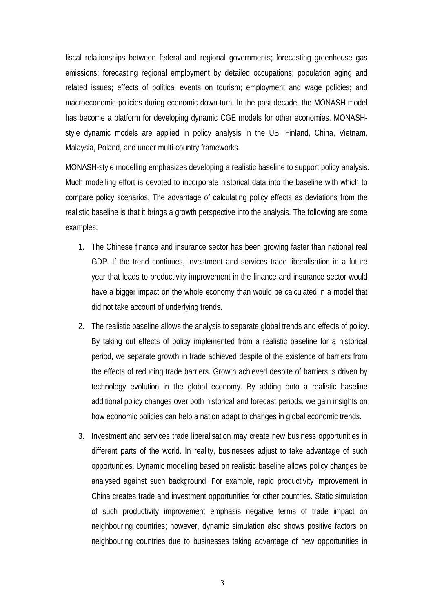fiscal relationships between federal and regional governments; forecasting greenhouse gas emissions; forecasting regional employment by detailed occupations; population aging and related issues; effects of political events on tourism; employment and wage policies; and macroeconomic policies during economic down-turn. In the past decade, the MONASH model has become a platform for developing dynamic CGE models for other economies. MONASHstyle dynamic models are applied in policy analysis in the US, Finland, China, Vietnam, Malaysia, Poland, and under multi-country frameworks.

MONASH-style modelling emphasizes developing a realistic baseline to support policy analysis. Much modelling effort is devoted to incorporate historical data into the baseline with which to compare policy scenarios. The advantage of calculating policy effects as deviations from the realistic baseline is that it brings a growth perspective into the analysis. The following are some examples:

- 1. The Chinese finance and insurance sector has been growing faster than national real GDP. If the trend continues, investment and services trade liberalisation in a future year that leads to productivity improvement in the finance and insurance sector would have a bigger impact on the whole economy than would be calculated in a model that did not take account of underlying trends.
- 2. The realistic baseline allows the analysis to separate global trends and effects of policy. By taking out effects of policy implemented from a realistic baseline for a historical period, we separate growth in trade achieved despite of the existence of barriers from the effects of reducing trade barriers. Growth achieved despite of barriers is driven by technology evolution in the global economy. By adding onto a realistic baseline additional policy changes over both historical and forecast periods, we gain insights on how economic policies can help a nation adapt to changes in global economic trends.
- 3. Investment and services trade liberalisation may create new business opportunities in different parts of the world. In reality, businesses adjust to take advantage of such opportunities. Dynamic modelling based on realistic baseline allows policy changes be analysed against such background. For example, rapid productivity improvement in China creates trade and investment opportunities for other countries. Static simulation of such productivity improvement emphasis negative terms of trade impact on neighbouring countries; however, dynamic simulation also shows positive factors on neighbouring countries due to businesses taking advantage of new opportunities in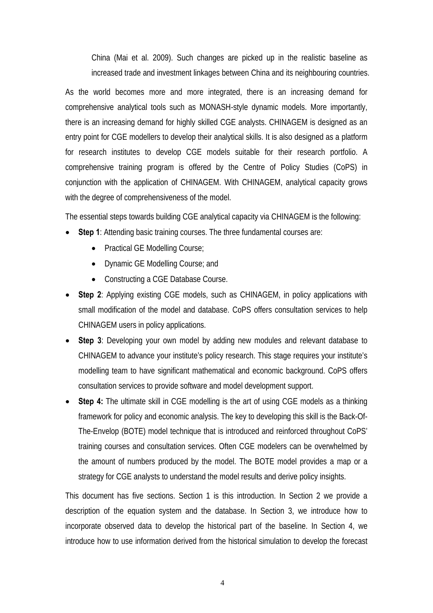China (Mai et al. 2009). Such changes are picked up in the realistic baseline as increased trade and investment linkages between China and its neighbouring countries.

As the world becomes more and more integrated, there is an increasing demand for comprehensive analytical tools such as MONASH-style dynamic models. More importantly, there is an increasing demand for highly skilled CGE analysts. CHINAGEM is designed as an entry point for CGE modellers to develop their analytical skills. It is also designed as a platform for research institutes to develop CGE models suitable for their research portfolio. A comprehensive training program is offered by the Centre of Policy Studies (CoPS) in conjunction with the application of CHINAGEM. With CHINAGEM, analytical capacity grows with the degree of comprehensiveness of the model.

The essential steps towards building CGE analytical capacity via CHINAGEM is the following:

- **Step 1**: Attending basic training courses. The three fundamental courses are:
	- Practical GE Modelling Course;
	- Dynamic GE Modelling Course; and
	- Constructing a CGE Database Course.
- **Step 2**: Applying existing CGE models, such as CHINAGEM, in policy applications with small modification of the model and database. CoPS offers consultation services to help CHINAGEM users in policy applications.
- **Step 3**: Developing your own model by adding new modules and relevant database to CHINAGEM to advance your institute's policy research. This stage requires your institute's modelling team to have significant mathematical and economic background. CoPS offers consultation services to provide software and model development support.
- **Step 4:** The ultimate skill in CGE modelling is the art of using CGE models as a thinking framework for policy and economic analysis. The key to developing this skill is the Back-Of-The-Envelop (BOTE) model technique that is introduced and reinforced throughout CoPS' training courses and consultation services. Often CGE modelers can be overwhelmed by the amount of numbers produced by the model. The BOTE model provides a map or a strategy for CGE analysts to understand the model results and derive policy insights.

This document has five sections. Section 1 is this introduction. In Section 2 we provide a description of the equation system and the database. In Section 3, we introduce how to incorporate observed data to develop the historical part of the baseline. In Section 4, we introduce how to use information derived from the historical simulation to develop the forecast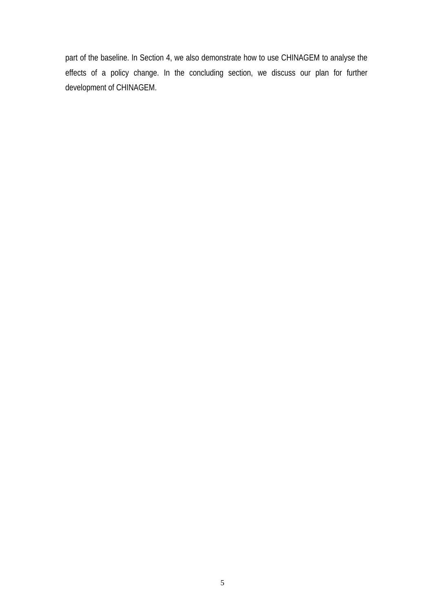part of the baseline. In Section 4, we also demonstrate how to use CHINAGEM to analyse the effects of a policy change. In the concluding section, we discuss our plan for further development of CHINAGEM.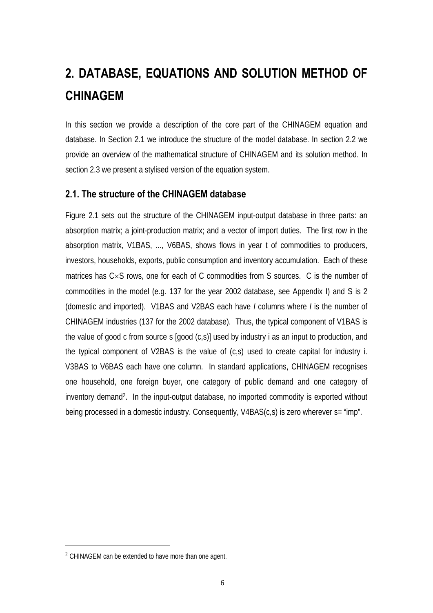# **2. DATABASE, EQUATIONS AND SOLUTION METHOD OF CHINAGEM**

In this section we provide a description of the core part of the CHINAGEM equation and database. In Section 2.1 we introduce the structure of the model database. In section 2.2 we provide an overview of the mathematical structure of CHINAGEM and its solution method. In section 2.3 we present a stylised version of the equation system.

#### **2.1. The structure of the CHINAGEM database**

Figure 2.1 sets out the structure of the CHINAGEM input-output database in three parts: an absorption matrix; a joint-production matrix; and a vector of import duties. The first row in the absorption matrix, V1BAS, ..., V6BAS, shows flows in year t of commodities to producers, investors, households, exports, public consumption and inventory accumulation. Each of these matrices has C×S rows, one for each of C commodities from S sources. C is the number of commodities in the model (e.g. 137 for the year 2002 database, see Appendix I) and S is 2 (domestic and imported). V1BAS and V2BAS each have *I* columns where *I* is the number of CHINAGEM industries (137 for the 2002 database). Thus, the typical component of V1BAS is the value of good c from source s [good (c,s)] used by industry i as an input to production, and the typical component of V2BAS is the value of (c,s) used to create capital for industry i. V3BAS to V6BAS each have one column. In standard applications, CHINAGEM recognises one household, one foreign buyer, one category of public demand and one category of inventory demand2. In the input-output database, no imported commodity is exported without being processed in a domestic industry. Consequently, V4BAS(c,s) is zero wherever s= "imp".

 $\overline{a}$ 

<sup>&</sup>lt;sup>2</sup> CHINAGEM can be extended to have more than one agent.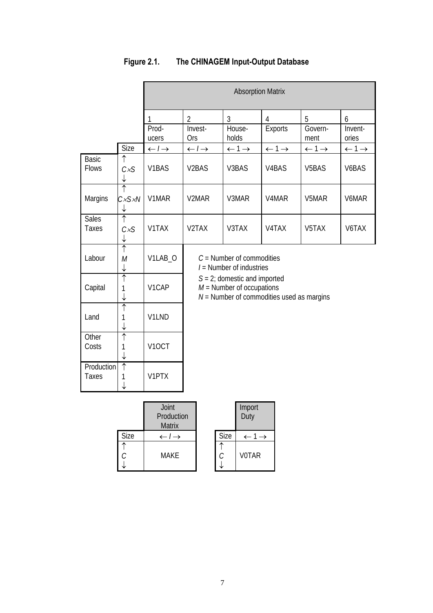|                              |                                            | <b>Absorption Matrix</b>              |                                                                                                                                                                            |                              |                              |                                      |                              |
|------------------------------|--------------------------------------------|---------------------------------------|----------------------------------------------------------------------------------------------------------------------------------------------------------------------------|------------------------------|------------------------------|--------------------------------------|------------------------------|
|                              |                                            | 1<br>Prod-                            | $\overline{2}$<br>Invest-<br><b>Ors</b>                                                                                                                                    | 3<br>House-<br>holds         | $\overline{4}$<br>Exports    | 5<br>Govern-                         | 6<br>Invent-<br>ories        |
|                              | Size                                       | ucers<br>$\leftarrow$ / $\rightarrow$ | $\leftarrow$ / $\rightarrow$                                                                                                                                               | $\leftarrow$ 1 $\rightarrow$ | $\leftarrow$ 1 $\rightarrow$ | ment<br>$\leftarrow$ 1 $\rightarrow$ | $\leftarrow$ 1 $\rightarrow$ |
| <b>Basic</b><br><b>Flows</b> | ↑<br>CxS                                   | V <sub>1</sub> BAS                    | V <sub>2</sub> BAS                                                                                                                                                         | V3BAS                        | V <sub>4</sub> BAS           | V <sub>5</sub> BAS                   | V <sub>6</sub> BAS           |
| Margins                      | $\overline{\uparrow}$<br>CxSxN<br>↓        | V1MAR                                 | V <sub>2</sub> MAR                                                                                                                                                         | V3MAR                        | V <sub>4</sub> MAR           | V5MAR                                | V6MAR                        |
| <b>Sales</b><br>Taxes        | ↑<br>CxS                                   | V1TAX                                 | V <sub>2</sub> TAX                                                                                                                                                         | V3TAX                        | V <sub>4</sub> TAX           | V5TAX                                | V6TAX                        |
| Labour                       | $\overline{\uparrow}$<br>M<br>↓            | V1LAB O                               | $C =$ Number of commodities<br>$I =$ Number of industries<br>$S = 2$ ; domestic and imported<br>$M =$ Number of occupations<br>$N =$ Number of commodities used as margins |                              |                              |                                      |                              |
| Capital                      | ↑<br>1<br>↓                                | V1CAP                                 |                                                                                                                                                                            |                              |                              |                                      |                              |
| Land                         | $\overline{\uparrow}$<br>1<br>↓            | V1LND                                 |                                                                                                                                                                            |                              |                              |                                      |                              |
| Other<br>Costs               | $\overline{\uparrow}$<br>1<br>$\downarrow$ | V <sub>1</sub> OCT                    |                                                                                                                                                                            |                              |                              |                                      |                              |
| Production<br><b>Taxes</b>   | $\overline{\uparrow}$<br>1                 | V1PTX                                 |                                                                                                                                                                            |                              |                              |                                      |                              |

### **Figure 2.1. The CHINAGEM Input-Output Database**

|      | Joint<br>Production<br><b>Matrix</b> |      | Import<br>Duty |
|------|--------------------------------------|------|----------------|
| Size | $\leftarrow$ / $\rightarrow$         | Size |                |
| ⌒    | <b>MAKE</b>                          | C.   | <b>VOTAR</b>   |

|      | Import<br>Duty |
|------|----------------|
| Size |                |
| C    | <b>V0TAR</b>   |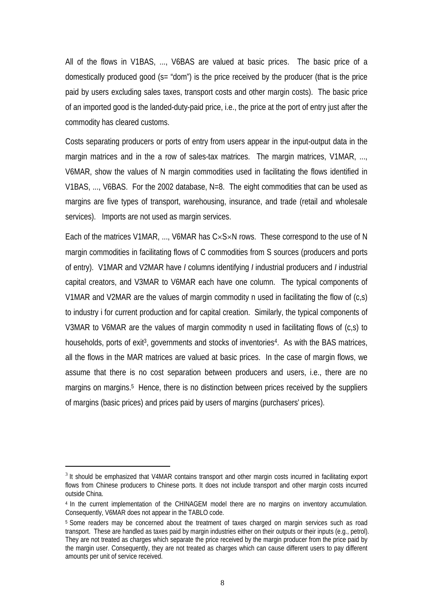All of the flows in V1BAS, ..., V6BAS are valued at basic prices. The basic price of a domestically produced good (s= "dom") is the price received by the producer (that is the price paid by users excluding sales taxes, transport costs and other margin costs). The basic price of an imported good is the landed-duty-paid price, i.e., the price at the port of entry just after the commodity has cleared customs.

Costs separating producers or ports of entry from users appear in the input-output data in the margin matrices and in the a row of sales-tax matrices. The margin matrices, V1MAR, ..., V6MAR, show the values of N margin commodities used in facilitating the flows identified in V1BAS, ..., V6BAS. For the 2002 database, N=8. The eight commodities that can be used as margins are five types of transport, warehousing, insurance, and trade (retail and wholesale services). Imports are not used as margin services.

Each of the matrices V1MAR, ..., V6MAR has C×S×N rows. These correspond to the use of N margin commodities in facilitating flows of C commodities from S sources (producers and ports of entry). V1MAR and V2MAR have *I* columns identifying *I* industrial producers and *I* industrial capital creators, and V3MAR to V6MAR each have one column. The typical components of V1MAR and V2MAR are the values of margin commodity n used in facilitating the flow of (c,s) to industry i for current production and for capital creation. Similarly, the typical components of V3MAR to V6MAR are the values of margin commodity n used in facilitating flows of (c,s) to households, ports of exit<sup>3</sup>, governments and stocks of inventories<sup>4</sup>. As with the BAS matrices, all the flows in the MAR matrices are valued at basic prices. In the case of margin flows, we assume that there is no cost separation between producers and users, i.e., there are no margins on margins.<sup>5</sup> Hence, there is no distinction between prices received by the suppliers of margins (basic prices) and prices paid by users of margins (purchasers' prices).

 $\overline{a}$ 

<sup>&</sup>lt;sup>3</sup> It should be emphasized that V4MAR contains transport and other margin costs incurred in facilitating export flows from Chinese producers to Chinese ports. It does not include transport and other margin costs incurred outside China.

<sup>4</sup> In the current implementation of the CHINAGEM model there are no margins on inventory accumulation. Consequently, V6MAR does not appear in the TABLO code.

<sup>5</sup> Some readers may be concerned about the treatment of taxes charged on margin services such as road transport. These are handled as taxes paid by margin industries either on their outputs or their inputs (e.g., petrol). They are not treated as charges which separate the price received by the margin producer from the price paid by the margin user. Consequently, they are not treated as charges which can cause different users to pay different amounts per unit of service received.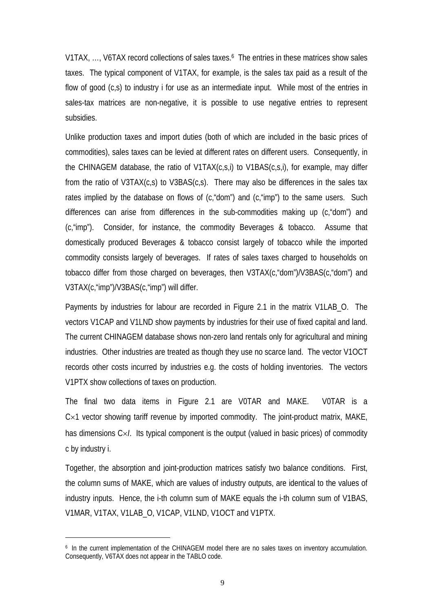V1TAX, ..., V6TAX record collections of sales taxes.<sup>6</sup> The entries in these matrices show sales taxes. The typical component of V1TAX, for example, is the sales tax paid as a result of the flow of good (c,s) to industry i for use as an intermediate input. While most of the entries in sales-tax matrices are non-negative, it is possible to use negative entries to represent subsidies.

Unlike production taxes and import duties (both of which are included in the basic prices of commodities), sales taxes can be levied at different rates on different users. Consequently, in the CHINAGEM database, the ratio of V1TAX(c,s,i) to V1BAS(c,s,i), for example, may differ from the ratio of V3TAX(c,s) to V3BAS(c,s). There may also be differences in the sales tax rates implied by the database on flows of (c,"dom") and (c,"imp") to the same users. Such differences can arise from differences in the sub-commodities making up (c,"dom") and (c,"imp"). Consider, for instance, the commodity Beverages & tobacco. Assume that domestically produced Beverages & tobacco consist largely of tobacco while the imported commodity consists largely of beverages. If rates of sales taxes charged to households on tobacco differ from those charged on beverages, then V3TAX(c,"dom")/V3BAS(c,"dom") and V3TAX(c,"imp")/V3BAS(c,"imp") will differ.

Payments by industries for labour are recorded in Figure 2.1 in the matrix V1LAB\_O. The vectors V1CAP and V1LND show payments by industries for their use of fixed capital and land. The current CHINAGEM database shows non-zero land rentals only for agricultural and mining industries. Other industries are treated as though they use no scarce land. The vector V1OCT records other costs incurred by industries e.g. the costs of holding inventories. The vectors V1PTX show collections of taxes on production.

The final two data items in Figure 2.1 are V0TAR and MAKE. V0TAR is a  $Cx1$  vector showing tariff revenue by imported commodity. The joint-product matrix, MAKE, has dimensions C×*I*. Its typical component is the output (valued in basic prices) of commodity c by industry i.

Together, the absorption and joint-production matrices satisfy two balance conditions. First, the column sums of MAKE, which are values of industry outputs, are identical to the values of industry inputs. Hence, the i-th column sum of MAKE equals the i-th column sum of V1BAS, V1MAR, V1TAX, V1LAB\_O, V1CAP, V1LND, V1OCT and V1PTX.

 $\overline{a}$ 

<sup>6</sup> In the current implementation of the CHINAGEM model there are no sales taxes on inventory accumulation. Consequently, V6TAX does not appear in the TABLO code.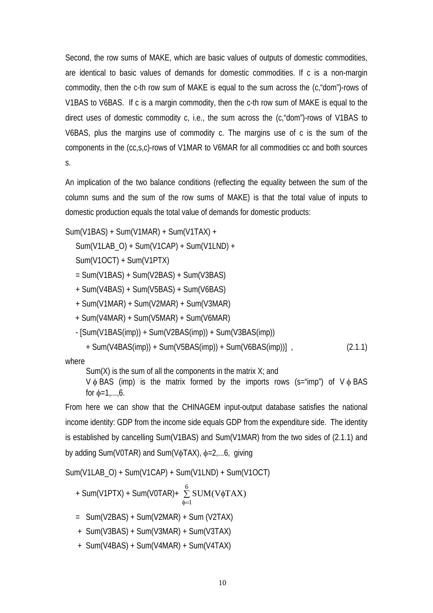Second, the row sums of MAKE, which are basic values of outputs of domestic commodities, are identical to basic values of demands for domestic commodities. If c is a non-margin commodity, then the c-th row sum of MAKE is equal to the sum across the (c,"dom")-rows of V1BAS to V6BAS. If c is a margin commodity, then the c-th row sum of MAKE is equal to the direct uses of domestic commodity c, i.e., the sum across the (c,"dom")-rows of V1BAS to V6BAS, plus the margins use of commodity c. The margins use of c is the sum of the components in the (cc,s,c)-rows of V1MAR to V6MAR for all commodities cc and both sources s.

An implication of the two balance conditions (reflecting the equality between the sum of the column sums and the sum of the row sums of MAKE) is that the total value of inputs to domestic production equals the total value of demands for domestic products:

Sum(V1BAS) + Sum(V1MAR) + Sum(V1TAX) +

Sum(V1LAB\_O) + Sum(V1CAP) + Sum(V1LND) +

Sum(V1OCT) + Sum(V1PTX)

= Sum(V1BAS) + Sum(V2BAS) + Sum(V3BAS)

+ Sum(V4BAS) + Sum(V5BAS) + Sum(V6BAS)

+ Sum(V1MAR) + Sum(V2MAR) + Sum(V3MAR)

+ Sum(V4MAR) + Sum(V5MAR) + Sum(V6MAR)

 $[Sum(V1BAS(imp)) + Sum(V2BAS(imp)) + Sum(V3BAS(imp))$ 

+ Sum(V4BAS(imp)) + Sum(V5BAS(imp)) + Sum(V6BAS(imp))] , (2.1.1)

where

Sum(X) is the sum of all the components in the matrix  $X_i$  and

 $V \phi$  BAS (imp) is the matrix formed by the imports rows (s="imp") of  $V \phi$  BAS for  $\phi$ =1,...,6.

From here we can show that the CHINAGEM input-output database satisfies the national income identity: GDP from the income side equals GDP from the expenditure side. The identity is established by cancelling Sum(V1BAS) and Sum(V1MAR) from the two sides of (2.1.1) and by adding Sum(V0TAR) and Sum(V $\phi$ TAX),  $\phi$ =2,...6, giving

Sum(V1LAB\_O) + Sum(V1CAP) + Sum(V1LND) + Sum(V1OCT)

+ Sum(V1PTX) + Sum(V0TAR) + 
$$
\sum_{\phi=1}^{6} SUM(V\phi\text{TAX})
$$
\n= Sum(V2BAS) + Sum(V2MAR) + Sum(V2TAX)  
\n+ Sum(V3BAS) + Sum(V3MAR) + Sum(V3TAX)  
\n+ Sum(V4BAS) + Sum(V4MAR) + Sum(V4TAX)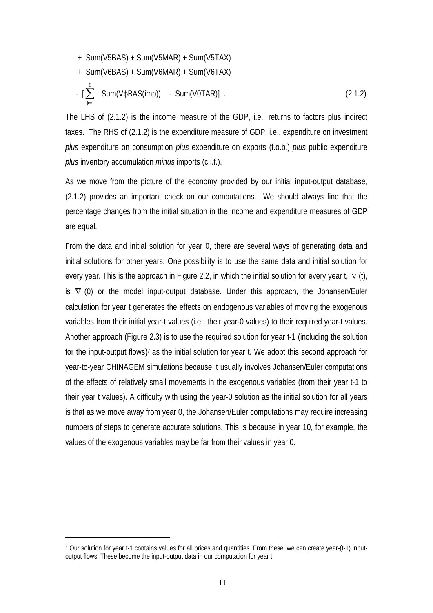$$
+ \text{Sum(V5BAS)} + \text{Sum(V5MAR)} + \text{Sum(V5TAX)}+ \text{Sum(V6BAS)} + \text{Sum(V6MAR)} + \text{Sum(V6TAX)}- \left[ \sum_{\phi=1}^{6} \text{Sum(V}\phi \text{BAS}(\text{imp})) - \text{Sum(V0TAR)} \right]. \tag{2.1.2}
$$

The LHS of (2.1.2) is the income measure of the GDP, i.e., returns to factors plus indirect taxes. The RHS of (2.1.2) is the expenditure measure of GDP, i.e., expenditure on investment *plus* expenditure on consumption *plus* expenditure on exports (f.o.b.) *plus* public expenditure *plus* inventory accumulation *minus* imports (c.i.f.).

As we move from the picture of the economy provided by our initial input-output database, (2.1.2) provides an important check on our computations. We should always find that the percentage changes from the initial situation in the income and expenditure measures of GDP are equal.

From the data and initial solution for year 0, there are several ways of generating data and initial solutions for other years. One possibility is to use the same data and initial solution for every year. This is the approach in Figure 2.2, in which the initial solution for every year t,  $\bar{v}$  (t), is  $\bar{v}$  (0) or the model input-output database. Under this approach, the Johansen/Euler calculation for year t generates the effects on endogenous variables of moving the exogenous variables from their initial year-t values (i.e., their year-0 values) to their required year-t values. Another approach (Figure 2.3) is to use the required solution for year t-1 (including the solution for the input-output flows)<sup>7</sup> as the initial solution for year t. We adopt this second approach for year-to-year CHINAGEM simulations because it usually involves Johansen/Euler computations of the effects of relatively small movements in the exogenous variables (from their year t-1 to their year t values). A difficulty with using the year-0 solution as the initial solution for all years is that as we move away from year 0, the Johansen/Euler computations may require increasing numbers of steps to generate accurate solutions. This is because in year 10, for example, the values of the exogenous variables may be far from their values in year 0.

 $\overline{a}$ 

 $7$  Our solution for year t-1 contains values for all prices and quantities. From these, we can create year-(t-1) inputoutput flows. These become the input-output data in our computation for year t.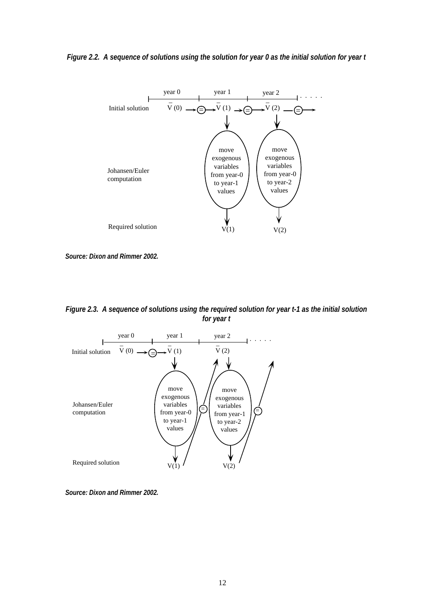#### *Figure 2.2. A sequence of solutions using the solution for year 0 as the initial solution for year t*



*Source: Dixon and Rimmer 2002.* 

*Figure 2.3. A sequence of solutions using the required solution for year t-1 as the initial solution for year t* 



*Source: Dixon and Rimmer 2002.*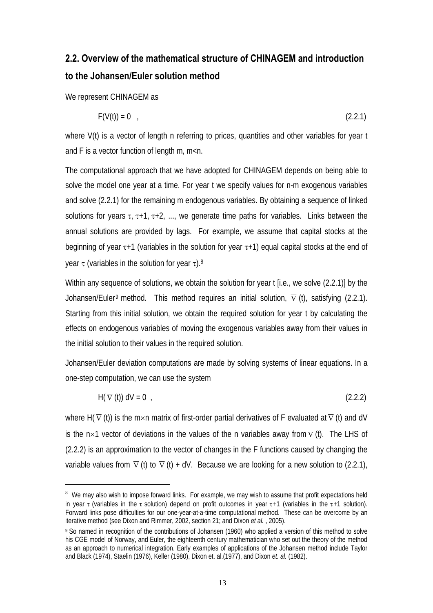## **2.2. Overview of the mathematical structure of CHINAGEM and introduction to the Johansen/Euler solution method**

We represent CHINAGEM as

 $\overline{a}$ 

$$
F(V(t)) = 0 \tag{2.2.1}
$$

where V(t) is a vector of length n referring to prices, quantities and other variables for year t and F is a vector function of length m, m<n.

The computational approach that we have adopted for CHINAGEM depends on being able to solve the model one year at a time. For year t we specify values for n-m exogenous variables and solve (2.2.1) for the remaining m endogenous variables. By obtaining a sequence of linked solutions for years  $\tau$ ,  $\tau$ +1,  $\tau$ +2, ..., we generate time paths for variables. Links between the annual solutions are provided by lags. For example, we assume that capital stocks at the beginning of year  $\tau$ +1 (variables in the solution for year  $\tau$ +1) equal capital stocks at the end of year τ (variables in the solution for year τ).<sup>8</sup>

Within any sequence of solutions, we obtain the solution for year t [i.e., we solve (2.2.1)] by the Johansen/Euler<sup>9</sup> method. This method requires an initial solution,  $\overline{v}$  (t), satisfying (2.2.1). Starting from this initial solution, we obtain the required solution for year t by calculating the effects on endogenous variables of moving the exogenous variables away from their values in the initial solution to their values in the required solution.

Johansen/Euler deviation computations are made by solving systems of linear equations. In a one-step computation, we can use the system

$$
H(\overline{V}(t)) dV = 0 \t\t(2.2.2)
$$

where H( $\overline{v}$  (t)) is the m×n matrix of first-order partial derivatives of F evaluated at  $\overline{v}$  (t) and dV is the n×1 vector of deviations in the values of the n variables away from  $\bar{v}$  (t). The LHS of (2.2.2) is an approximation to the vector of changes in the F functions caused by changing the variable values from  $\overline{v}$  (t) to  $\overline{v}$  (t) + dV. Because we are looking for a new solution to (2.2.1),

<sup>&</sup>lt;sup>8</sup> We may also wish to impose forward links. For example, we may wish to assume that profit expectations held in year τ (variables in the τ solution) depend on profit outcomes in year τ+1 (variables in the τ+1 solution). Forward links pose difficulties for our one-year-at-a-time computational method. These can be overcome by an iterative method (see Dixon and Rimmer, 2002, section 21; and Dixon *et al.* , 2005).

<sup>9</sup> So named in recognition of the contributions of Johansen (1960) who applied a version of this method to solve his CGE model of Norway, and Euler, the eighteenth century mathematician who set out the theory of the method as an approach to numerical integration. Early examples of applications of the Johansen method include Taylor and Black (1974), Staelin (1976), Keller (1980), Dixon et. al.(1977), and Dixon *et. al.* (1982).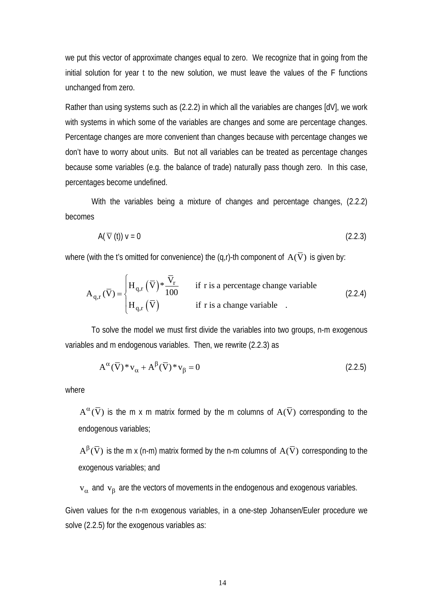we put this vector of approximate changes equal to zero. We recognize that in going from the initial solution for year t to the new solution, we must leave the values of the F functions unchanged from zero.

Rather than using systems such as (2.2.2) in which all the variables are changes [dV], we work with systems in which some of the variables are changes and some are percentage changes. Percentage changes are more convenient than changes because with percentage changes we don't have to worry about units. But not all variables can be treated as percentage changes because some variables (e.g. the balance of trade) naturally pass though zero. In this case, percentages become undefined.

With the variables being a mixture of changes and percentage changes, (2.2.2) becomes

$$
A(\overline{V}(t)) V = 0 \tag{2.2.3}
$$

where (with the t's omitted for convenience) the (q,r)-th component of  $A(\overline{V})$  is given by:

$$
A_{q,r}(\overline{V}) = \begin{cases} H_{q,r}(\overline{V})^* \frac{\overline{V}_r}{100} & \text{if r is a percentage change variable} \\ H_{q,r}(\overline{V}) & \text{if r is a change variable} \end{cases}
$$
 (2.2.4)

 To solve the model we must first divide the variables into two groups, n-m exogenous variables and m endogenous variables. Then, we rewrite (2.2.3) as

$$
A^{\alpha}(\overline{V})^* v_{\alpha} + A^{\beta}(\overline{V})^* v_{\beta} = 0
$$
\n(2.2.5)

where

 $A^{\alpha}(\overline{V})$  is the m x m matrix formed by the m columns of  $A(\overline{V})$  corresponding to the endogenous variables;

 $A^{\beta}(\overline{V})$  is the m x (n-m) matrix formed by the n-m columns of  $A(\overline{V})$  corresponding to the exogenous variables; and

 $v_\alpha$  and  $v_\beta$  are the vectors of movements in the endogenous and exogenous variables.

Given values for the n-m exogenous variables, in a one-step Johansen/Euler procedure we solve (2.2.5) for the exogenous variables as: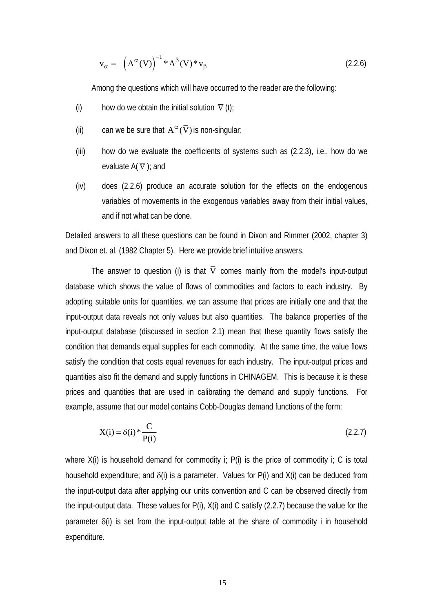$$
\mathbf{v}_{\alpha} = -(\mathbf{A}^{\alpha}(\overline{\mathbf{V}}))^{\mathbf{-1}} * \mathbf{A}^{\beta}(\overline{\mathbf{V}}) * \mathbf{v}_{\beta} \tag{2.2.6}
$$

Among the questions which will have occurred to the reader are the following:

- (i) how do we obtain the initial solution  $\bar{\nabla}$  (t);
- (ii) can we be sure that  $A^{\alpha}(\overline{V})$  is non-singular;
- (iii) how do we evaluate the coefficients of systems such as (2.2.3), i.e., how do we evaluate  $A(\overline{v})$ ; and
- (iv) does (2.2.6) produce an accurate solution for the effects on the endogenous variables of movements in the exogenous variables away from their initial values, and if not what can be done.

Detailed answers to all these questions can be found in Dixon and Rimmer (2002, chapter 3) and Dixon et. al. (1982 Chapter 5). Here we provide brief intuitive answers.

The answer to question (i) is that  $\overline{V}$  comes mainly from the model's input-output database which shows the value of flows of commodities and factors to each industry. By adopting suitable units for quantities, we can assume that prices are initially one and that the input-output data reveals not only values but also quantities. The balance properties of the input-output database (discussed in section 2.1) mean that these quantity flows satisfy the condition that demands equal supplies for each commodity. At the same time, the value flows satisfy the condition that costs equal revenues for each industry. The input-output prices and quantities also fit the demand and supply functions in CHINAGEM. This is because it is these prices and quantities that are used in calibrating the demand and supply functions. For example, assume that our model contains Cobb-Douglas demand functions of the form:

$$
X(i) = \delta(i) * \frac{C}{P(i)}
$$
\n
$$
(2.2.7)
$$

where  $X(i)$  is household demand for commodity i;  $P(i)$  is the price of commodity i; C is total household expenditure; and  $\delta(i)$  is a parameter. Values for P(i) and X(i) can be deduced from the input-output data after applying our units convention and C can be observed directly from the input-output data. These values for P(i), X(i) and C satisfy (2.2.7) because the value for the parameter  $\delta(i)$  is set from the input-output table at the share of commodity i in household expenditure.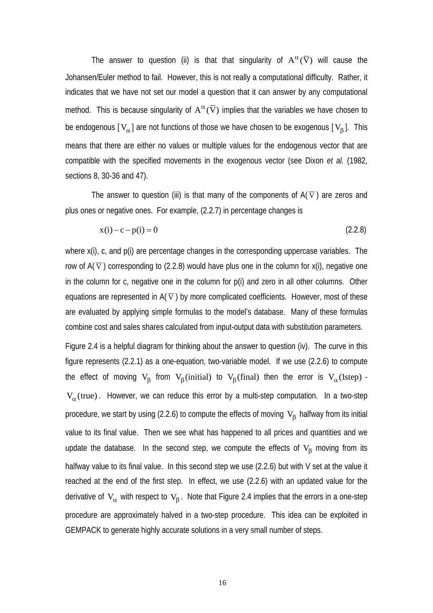The answer to question (ii) is that that singularity of  $A^{\alpha}(\overline{V})$  will cause the Johansen/Euler method to fail. However, this is not really a computational difficulty. Rather, it indicates that we have not set our model a question that it can answer by any computational method. This is because singularity of  $A^{\alpha}(\overline{V})$  implies that the variables we have chosen to be endogenous  $[V_\alpha]$  are not functions of those we have chosen to be exogenous  $[V_\beta]$ . This means that there are either no values or multiple values for the endogenous vector that are compatible with the specified movements in the exogenous vector (see Dixon *et al.* (1982, sections 8, 30-36 and 47).

The answer to question (iii) is that many of the components of  $A(\overline{v})$  are zeros and plus ones or negative ones. For example, (2.2.7) in percentage changes is

$$
x(i) - c - p(i) = 0 \tag{2.2.8}
$$

where x(i), c, and p(i) are percentage changes in the corresponding uppercase variables. The row of  $A(\overline{v})$  corresponding to (2.2.8) would have plus one in the column for x(i), negative one in the column for c, negative one in the column for p(i) and zero in all other columns. Other equations are represented in  $A(\overline{v})$  by more complicated coefficients. However, most of these are evaluated by applying simple formulas to the model's database. Many of these formulas combine cost and sales shares calculated from input-output data with substitution parameters.

Figure 2.4 is a helpful diagram for thinking about the answer to question (iv). The curve in this figure represents (2.2.1) as a one-equation, two-variable model. If we use (2.2.6) to compute the effect of moving  $V_B$  from  $V_B$  (initial) to  $V_B$  (final) then the error is  $V_\alpha$  (1step) - $V_\alpha$ (true). However, we can reduce this error by a multi-step computation. In a two-step procedure, we start by using (2.2.6) to compute the effects of moving  $V_B$  halfway from its initial value to its final value. Then we see what has happened to all prices and quantities and we update the database. In the second step, we compute the effects of  $V_\beta$  moving from its halfway value to its final value. In this second step we use (2.2.6) but with V set at the value it reached at the end of the first step. In effect, we use (2.2.6) with an updated value for the derivative of  $V_\alpha$  with respect to  $V_\beta$ . Note that Figure 2.4 implies that the errors in a one-step procedure are approximately halved in a two-step procedure. This idea can be exploited in GEMPACK to generate highly accurate solutions in a very small number of steps.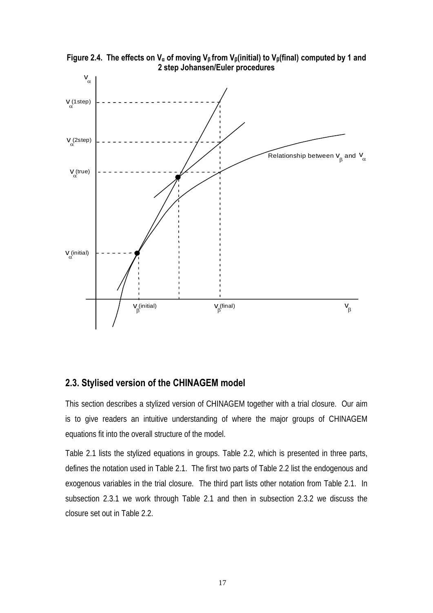

**Figure 2.4. The effects on Vα of moving V<sup>β</sup> from Vβ(initial) to Vβ(final) computed by 1 and 2 step Johansen/Euler procedures**

#### **2.3. Stylised version of the CHINAGEM model**

This section describes a stylized version of CHINAGEM together with a trial closure. Our aim is to give readers an intuitive understanding of where the major groups of CHINAGEM equations fit into the overall structure of the model.

Table 2.1 lists the stylized equations in groups. Table 2.2, which is presented in three parts, defines the notation used in Table 2.1. The first two parts of Table 2.2 list the endogenous and exogenous variables in the trial closure. The third part lists other notation from Table 2.1. In subsection 2.3.1 we work through Table 2.1 and then in subsection 2.3.2 we discuss the closure set out in Table 2.2.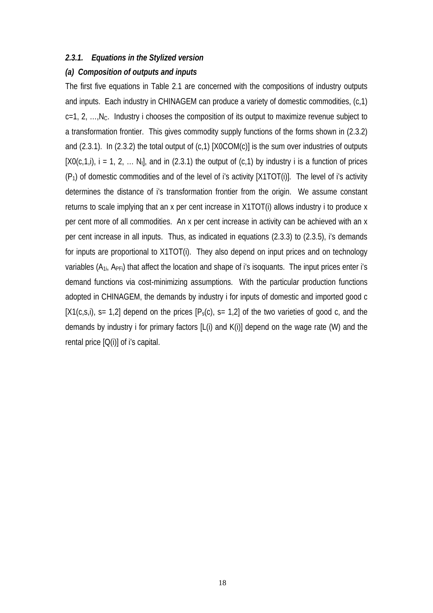#### *2.3.1. Equations in the Stylized version*

#### *(a) Composition of outputs and inputs*

The first five equations in Table 2.1 are concerned with the compositions of industry outputs and inputs. Each industry in CHINAGEM can produce a variety of domestic commodities, (c,1)  $c=1, 2, \ldots$ , N<sub>C</sub>. Industry i chooses the composition of its output to maximize revenue subject to a transformation frontier. This gives commodity supply functions of the forms shown in (2.3.2) and (2.3.1). In (2.3.2) the total output of (c,1) [X0COM(c)] is the sum over industries of outputs  $[XO(c,1,i)]$ , i = 1, 2, ... N<sub>I</sub>, and in (2.3.1) the output of (c,1) by industry i is a function of prices  $(P_1)$  of domestic commodities and of the level of i's activity  $[X1TOT(i)]$ . The level of i's activity determines the distance of i's transformation frontier from the origin. We assume constant returns to scale implying that an x per cent increase in X1TOT(i) allows industry i to produce x per cent more of all commodities. An x per cent increase in activity can be achieved with an x per cent increase in all inputs. Thus, as indicated in equations (2.3.3) to (2.3.5), i's demands for inputs are proportional to X1TOT(i). They also depend on input prices and on technology variables  $(A_{1i}, A_{\text{PE}})$  that affect the location and shape of i's isoquants. The input prices enter i's demand functions via cost-minimizing assumptions. With the particular production functions adopted in CHINAGEM, the demands by industry i for inputs of domestic and imported good c  $[X1(c,s,i)]$ , s= 1,2] depend on the prices  $[P_s(c)]$ , s= 1,2] of the two varieties of good c, and the demands by industry i for primary factors [L(i) and K(i)] depend on the wage rate (W) and the rental price  $[Q(i)]$  of i's capital.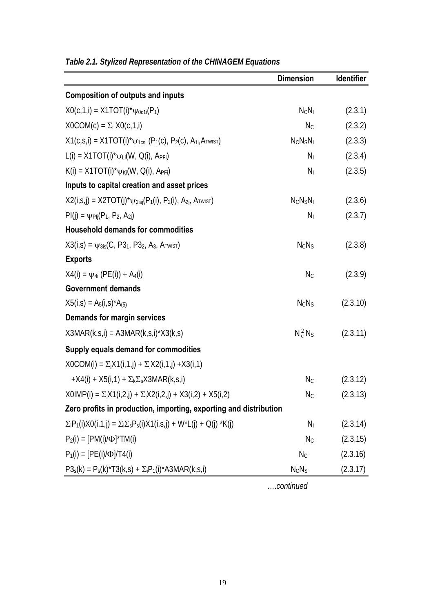|                                                                                       | <b>Dimension</b> | Identifier |
|---------------------------------------------------------------------------------------|------------------|------------|
| <b>Composition of outputs and inputs</b>                                              |                  |            |
| $XO(c, 1, i) = X1TOT(i)*\psi_{0c1i}(P_1)$                                             | $N_C N_I$        | (2.3.1)    |
| $XOCOM(c) = \sum_i XO(c,1,i)$                                                         | $N_{C}$          | (2.3.2)    |
| $X1(c,s,i) = X1TOT(i)*\psi_{1csi} (P_1(c), P_2(c), A_{1i}, A_{TWIST})$                | $N_C N_S N_I$    | (2.3.3)    |
| $L(i) = X1TOT(i)*\psi_{Li}(W, Q(i), A_{PFi})$                                         | $N_I$            | (2.3.4)    |
| $K(i) = X1TOT(i)*\psi_{Ki}(W, Q(i), A_{PFi})$                                         | N <sub>1</sub>   | (2.3.5)    |
| Inputs to capital creation and asset prices                                           |                  |            |
| $X2(i,s,j) = X2TOT(j)*\psi_{2isi}(P_1(i), P_2(i), A_{2j}, A_{TWIST})$                 | $N_C N_S N_I$    | (2.3.6)    |
| $PI(i) = \psi_{PIi}(P_1, P_2, A_{2i})$                                                | $N_I$            | (2.3.7)    |
| <b>Household demands for commodities</b>                                              |                  |            |
| $X3(i,s) = \psi_{3is}(C, P3_1, P3_2, A_3, A_{TWIST})$                                 | $N_C N_S$        | (2.3.8)    |
| <b>Exports</b>                                                                        |                  |            |
| $X4(i) = \psi_{4i} (PE(i)) + A_4(i)$                                                  | $N_{C}$          | (2.3.9)    |
| <b>Government demands</b>                                                             |                  |            |
| $X5(i,s) = A_5(i,s)*A_{(5)}$                                                          | $N_C N_S$        | (2.3.10)   |
| Demands for margin services                                                           |                  |            |
| $X3MAR(k,s,i) = A3MAR(k,s,i)*X3(k,s)$                                                 | $N_c^2 N_S$      | (2.3.11)   |
| Supply equals demand for commodities                                                  |                  |            |
| $XOCOM(i) = \sum_i X1(i, 1, j) + \sum_i X2(i, 1, j) + X3(i, 1)$                       |                  |            |
| +X4(i) + X5(i,1) + $\Sigma_k \Sigma_s$ X3MAR(k,s,i)                                   | $N_{\rm C}$      | (2.3.12)   |
| $X0IMP(i) = \sum_i X1(i,2,i) + \sum_i X2(i,2,i) + X3(i,2) + X5(i,2)$                  | $N_C$            | (2.3.13)   |
| Zero profits in production, importing, exporting and distribution                     |                  |            |
| $\Sigma_i P_1(i)X0(i,1,j) = \Sigma_i \Sigma_s P_s(i)X1(i,s,j) + W^*L(j) + Q(j)^*K(j)$ | N <sub>1</sub>   | (2.3.14)   |
| $P_2(i) = [PM(i)/\Phi]^*TM(i)$                                                        | $N_{C}$          | (2.3.15)   |
| $P_1(i) = [PE(i)/\Phi]/T4(i)$                                                         | $N_{C}$          | (2.3.16)   |
| $P3_s(k) = P_s(k)^*T3(k,s) + \Sigma_i P_1(i)^*A3MAR(k,s,i)$                           | $N_C N_S$        | (2.3.17)   |

*Table 2.1. Stylized Representation of the CHINAGEM Equations* 

….*continued*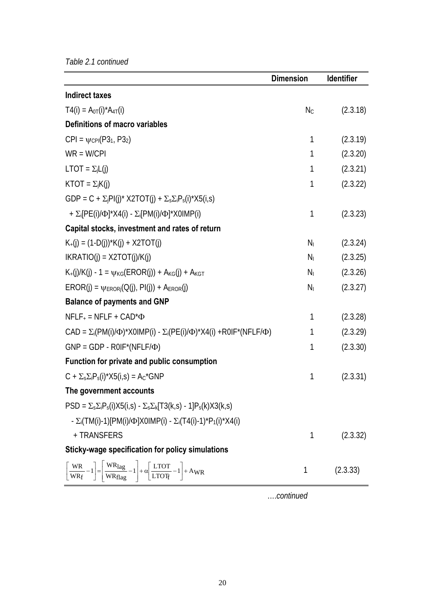*Table 2.1 continued* 

|                                                                                                                                                                                            | <b>Dimension</b> | <b>Identifier</b> |
|--------------------------------------------------------------------------------------------------------------------------------------------------------------------------------------------|------------------|-------------------|
| <b>Indirect taxes</b>                                                                                                                                                                      |                  |                   |
| $T4(i) = A_{0T}(i)^*A_{4T}(i)$                                                                                                                                                             | $N_{C}$          | (2.3.18)          |
| Definitions of macro variables                                                                                                                                                             |                  |                   |
| $CPI = \psi_{CPI}(P3_1, P3_2)$                                                                                                                                                             | 1                | (2.3.19)          |
| $WR = W/CPI$                                                                                                                                                                               | $\mathbf{1}$     | (2.3.20)          |
| $LTOT = \Sigma_j L(j)$                                                                                                                                                                     | $\mathbf{1}$     | (2.3.21)          |
| $KTOT = \sum_j K(j)$                                                                                                                                                                       | $\mathbf{1}$     | (2.3.22)          |
| GDP = C + $\Sigma_jPI(j)^*$ X2TOT(j) + $\Sigma_s\Sigma_iP_s(i)^*X5(i,s)$                                                                                                                   |                  |                   |
| + $\Sigma_i[PE(i)/\Phi]^*X4(i) - \Sigma_i[PM(i)/\Phi]^*X0IMP(i)$                                                                                                                           | 1                | (2.3.23)          |
| Capital stocks, investment and rates of return                                                                                                                                             |                  |                   |
| $K_{+}(i) = (1-D(i))^{*}K(i) + X2TOT(i)$                                                                                                                                                   | $N_I$            | (2.3.24)          |
| $IKRATION(i) = X2TOT(i)/K(i)$                                                                                                                                                              | $N_{\rm I}$      | (2.3.25)          |
| $K_{+}(j)/K(j) - 1 = \psi_{KG}(EROR(j)) + A_{KG}(j) + A_{KG}$                                                                                                                              | $N_{\rm I}$      | (2.3.26)          |
| $EROR(j) = \psi_{ERORj}(Q(j), PI(j)) + A_{EROR}(j)$                                                                                                                                        | N <sub>1</sub>   | (2.3.27)          |
| <b>Balance of payments and GNP</b>                                                                                                                                                         |                  |                   |
| $NFLF_+ = NFLF + CAD^* \Phi$                                                                                                                                                               | 1                | (2.3.28)          |
| CAD = $\Sigma_i(PM(i)/\Phi)^*X0IMP(i) - \Sigma_i(PE(i)/\Phi)^*X4(i) + ROIF^*(NFLF/\Phi)$                                                                                                   | 1                | (2.3.29)          |
| $GNP = GDP - ROIF^*(NFLF/\Phi)$                                                                                                                                                            | 1                | (2.3.30)          |
| Function for private and public consumption                                                                                                                                                |                  |                   |
| $C + \Sigma_s \Sigma_i P_s(i)^* X5(i,s) = A_c^* GNP$                                                                                                                                       | 1                | (2.3.31)          |
| The government accounts                                                                                                                                                                    |                  |                   |
| $PSD = \sum_{s} \sum_{i} P_{s}(i) X 5(i,s) - \sum_{s} \sum_{k} [T3(k,s) - 1] P_{s}(k) X 3(k,s)$                                                                                            |                  |                   |
| - $\Sigma_i$ (TM(i)-1)[PM(i)/ $\Phi$ ]X0IMP(i) - $\Sigma_i$ (T4(i)-1)*P <sub>1</sub> (i)*X4(i)                                                                                             |                  |                   |
| + TRANSFERS                                                                                                                                                                                | 1                | (2.3.32)          |
| Sticky-wage specification for policy simulations                                                                                                                                           |                  |                   |
| $\left\lceil \frac{WR}{WR_f} - 1 \right\rceil = \left\lceil \frac{WR_{lag}}{WR_{flag}} - 1 \right\rceil + \alpha \left\lfloor \frac{\text{LTOT}}{\text{LTOT}_{f}} - 1 \right\rfloor + AWR$ | 1                | (2.3.33)          |

….*continued*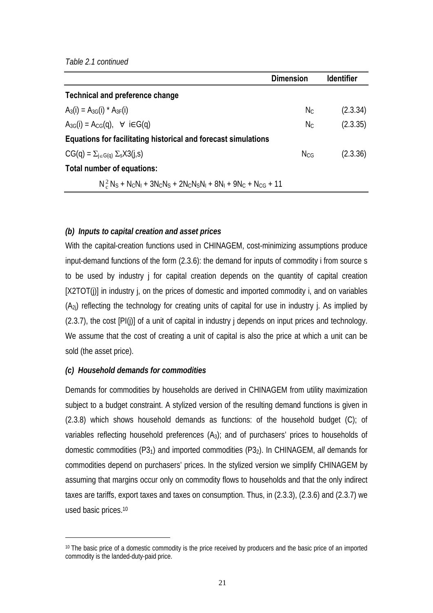|                                                                             | Dimension | <b>Identifier</b> |
|-----------------------------------------------------------------------------|-----------|-------------------|
| Technical and preference change                                             |           |                   |
| $A_3(i) = A_{3G}(i) * A_{3F}(i)$                                            | Nc.       | (2.3.34)          |
| $A_{3G}(i) = A_{CG}(q)$ , $\forall$ i $\in G(q)$                            | Nc.       | (2.3.35)          |
| Equations for facilitating historical and forecast simulations              |           |                   |
| $CG(q) = \sum_{i \in G(q)} \sum_{s} X3(i,s)$                                | Ncg       | (2.3.36)          |
| Total number of equations:                                                  |           |                   |
| $N_c^2 N_S + N_C N_I + 3N_C N_S + 2N_C N_S N_I + 8N_I + 9N_C + N_{CG} + 11$ |           |                   |

#### *(b) Inputs to capital creation and asset prices*

With the capital-creation functions used in CHINAGEM, cost-minimizing assumptions produce input-demand functions of the form (2.3.6): the demand for inputs of commodity i from source s to be used by industry j for capital creation depends on the quantity of capital creation [X2TOT(j)] in industry j, on the prices of domestic and imported commodity i, and on variables  $(A_{2i})$  reflecting the technology for creating units of capital for use in industry j. As implied by (2.3.7), the cost [PI(j)] of a unit of capital in industry j depends on input prices and technology. We assume that the cost of creating a unit of capital is also the price at which a unit can be sold (the asset price).

#### *(c) Household demands for commodities*

 $\overline{a}$ 

Demands for commodities by households are derived in CHINAGEM from utility maximization subject to a budget constraint. A stylized version of the resulting demand functions is given in (2.3.8) which shows household demands as functions: of the household budget (C); of variables reflecting household preferences  $(A_3)$ ; and of purchasers' prices to households of domestic commodities (P31) and imported commodities (P32). In CHINAGEM, *all* demands for commodities depend on purchasers' prices. In the stylized version we simplify CHINAGEM by assuming that margins occur only on commodity flows to households and that the only indirect taxes are tariffs, export taxes and taxes on consumption. Thus, in (2.3.3), (2.3.6) and (2.3.7) we used basic prices.10

<sup>&</sup>lt;sup>10</sup> The basic price of a domestic commodity is the price received by producers and the basic price of an imported commodity is the landed-duty-paid price.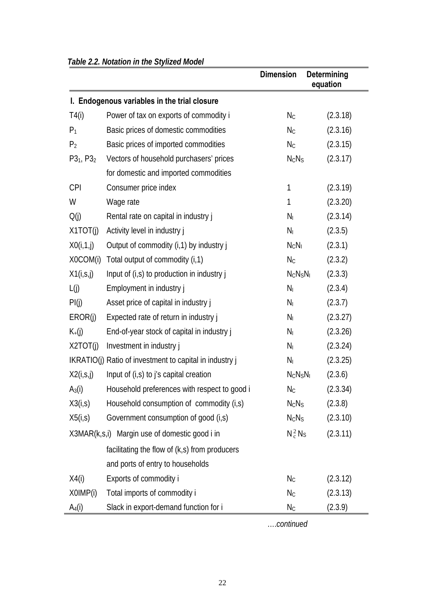|                |                                                         | <b>Dimension</b>              | <b>Determining</b><br>equation |
|----------------|---------------------------------------------------------|-------------------------------|--------------------------------|
|                | I. Endogenous variables in the trial closure            |                               |                                |
| T4(i)          | Power of tax on exports of commodity i                  | $N_{C}$                       | (2.3.18)                       |
| $P_1$          | Basic prices of domestic commodities                    | $N_{C}$                       | (2.3.16)                       |
| P <sub>2</sub> | Basic prices of imported commodities                    | $N_{\rm C}$                   | (2.3.15)                       |
| $P3_1, P3_2$   | Vectors of household purchasers' prices                 | $N_C N_S$                     | (2.3.17)                       |
|                | for domestic and imported commodities                   |                               |                                |
| <b>CPI</b>     | Consumer price index                                    | 1                             | (2.3.19)                       |
| W              | Wage rate                                               | 1                             | (2.3.20)                       |
| Q(j)           | Rental rate on capital in industry j                    | $N_I$                         | (2.3.14)                       |
| X1TOT(j)       | Activity level in industry j                            | $N_{I}$                       | (2.3.5)                        |
| X0(i, 1, j)    | Output of commodity (i, 1) by industry j                | $N_C N_I$                     | (2.3.1)                        |
| X0COM(i)       | Total output of commodity (i,1)                         | $N_{C}$                       | (2.3.2)                        |
| X1(i, S, j)    | Input of (i,s) to production in industry j              | $N_C N_S N_I$                 | (2.3.3)                        |
| L(j)           | Employment in industry j                                | $N_I$                         | (2.3.4)                        |
| PI(j)          | Asset price of capital in industry j                    | $N_I$                         | (2.3.7)                        |
| EROR(j)        | Expected rate of return in industry j                   | $N_I$                         | (2.3.27)                       |
| $K_{+}(j)$     | End-of-year stock of capital in industry j              | $N_I$                         | (2.3.26)                       |
| X2TOT(j)       | Investment in industry j                                | $N_I$                         | (2.3.24)                       |
|                | IKRATIO(j) Ratio of investment to capital in industry j | N <sub>1</sub>                | (2.3.25)                       |
| X2(i, S, j)    | Input of (i,s) to j's capital creation                  | $N_C N_S N_I$                 | (2.3.6)                        |
| $A_3(i)$       | Household preferences with respect to good i            | $N_{C}$                       | (2.3.34)                       |
| X3(i, s)       | Household consumption of commodity (i,s)                | $N_C N_S$                     | (2.3.8)                        |
| X5(i,s)        | Government consumption of good (i,s)                    | N <sub>c</sub> N <sub>S</sub> | (2.3.10)                       |
|                | X3MAR(k,s,i) Margin use of domestic good i in           | $N_c^2 N_S$                   | (2.3.11)                       |
|                | facilitating the flow of (k,s) from producers           |                               |                                |
|                | and ports of entry to households                        |                               |                                |
| X4(i)          | Exports of commodity i                                  | $N_{C}$                       | (2.3.12)                       |
| X0IMP(i)       | Total imports of commodity i                            | $N_{\rm C}$                   | (2.3.13)                       |
| $A_4(i)$       | Slack in export-demand function for i                   | $N_{C}$                       | (2.3.9)                        |

#### *Table 2.2. Notation in the Stylized Model*

….*continued*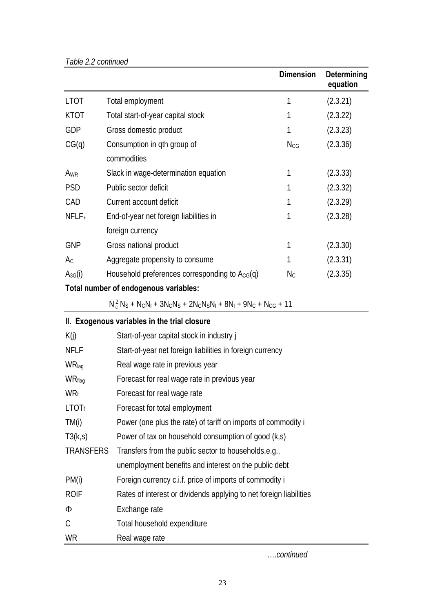|                  |                                                                             | <b>Dimension</b> | Determining<br>equation |  |  |
|------------------|-----------------------------------------------------------------------------|------------------|-------------------------|--|--|
| <b>LTOT</b>      | Total employment                                                            | 1                | (2.3.21)                |  |  |
| <b>KTOT</b>      | Total start-of-year capital stock                                           | 1                | (2.3.22)                |  |  |
| GDP              | Gross domestic product                                                      | 1                | (2.3.23)                |  |  |
| CG(q)            | Consumption in qth group of<br>commodities                                  | $N_{CG}$         | (2.3.36)                |  |  |
| A <sub>WR</sub>  | Slack in wage-determination equation                                        | 1                | (2.3.33)                |  |  |
| <b>PSD</b>       | Public sector deficit                                                       | 1                | (2.3.32)                |  |  |
| CAD              | Current account deficit                                                     | 1                | (2.3.29)                |  |  |
| $NFLF+$          | End-of-year net foreign liabilities in                                      | 1                | (2.3.28)                |  |  |
|                  | foreign currency                                                            |                  |                         |  |  |
| <b>GNP</b>       | Gross national product                                                      | 1                | (2.3.30)                |  |  |
| $A_{C}$          | Aggregate propensity to consume                                             | 1                | (2.3.31)                |  |  |
| $A_{3G}(i)$      | Household preferences corresponding to $A_{CG}(q)$                          | $N_{\rm C}$      | (2.3.35)                |  |  |
|                  | Total number of endogenous variables:                                       |                  |                         |  |  |
|                  | $N_c^2 N_S + N_C N_I + 3N_C N_S + 2N_C N_S N_I + 8N_I + 9N_C + N_{CG} + 11$ |                  |                         |  |  |
|                  | II. Exogenous variables in the trial closure                                |                  |                         |  |  |
| K(j)             | Start-of-year capital stock in industry j                                   |                  |                         |  |  |
| <b>NFLF</b>      | Start-of-year net foreign liabilities in foreign currency                   |                  |                         |  |  |
| WRlag            | Real wage rate in previous year                                             |                  |                         |  |  |
| WRflag           | Forecast for real wage rate in previous year                                |                  |                         |  |  |
| <b>WRf</b>       | Forecast for real wage rate                                                 |                  |                         |  |  |
| <b>LTOTf</b>     | Forecast for total employment                                               |                  |                         |  |  |
| TM(i)            | Power (one plus the rate) of tariff on imports of commodity i               |                  |                         |  |  |
| T3(k, s)         | Power of tax on household consumption of good (k,s)                         |                  |                         |  |  |
| <b>TRANSFERS</b> | Transfers from the public sector to households, e.g.,                       |                  |                         |  |  |
|                  | unemployment benefits and interest on the public debt                       |                  |                         |  |  |
| PM(i)            | Foreign currency c.i.f. price of imports of commodity i                     |                  |                         |  |  |
| <b>ROIF</b>      | Rates of interest or dividends applying to net foreign liabilities          |                  |                         |  |  |

Φ Exchange rate

C Total household expenditure

WR Real wage rate

….*continued*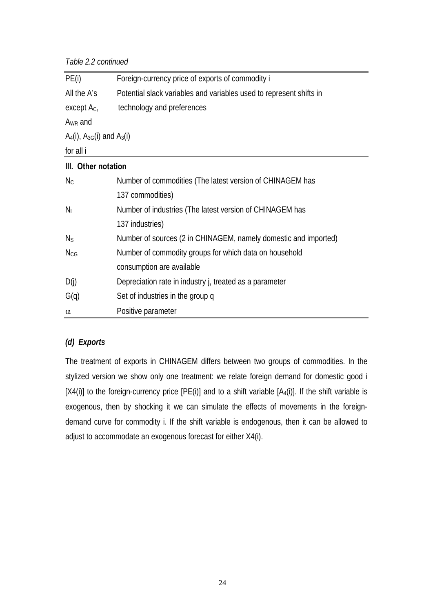*Table 2.2 continued*

| Foreign-currency price of exports of commodity i                    |  |  |  |
|---------------------------------------------------------------------|--|--|--|
| Potential slack variables and variables used to represent shifts in |  |  |  |
| technology and preferences                                          |  |  |  |
|                                                                     |  |  |  |
| $A_4(i)$ , $A_{3G}(i)$ and $A_3(i)$                                 |  |  |  |
|                                                                     |  |  |  |
| III. Other notation                                                 |  |  |  |
| Number of commodities (The latest version of CHINAGEM has           |  |  |  |
| 137 commodities)                                                    |  |  |  |
| Number of industries (The latest version of CHINAGEM has            |  |  |  |
| 137 industries)                                                     |  |  |  |
| Number of sources (2 in CHINAGEM, namely domestic and imported)     |  |  |  |
| Number of commodity groups for which data on household              |  |  |  |
| consumption are available                                           |  |  |  |
| Depreciation rate in industry j, treated as a parameter             |  |  |  |
| Set of industries in the group q                                    |  |  |  |
| Positive parameter                                                  |  |  |  |
|                                                                     |  |  |  |

#### *(d) Exports*

The treatment of exports in CHINAGEM differs between two groups of commodities. In the stylized version we show only one treatment: we relate foreign demand for domestic good i  $[X4(i)]$  to the foreign-currency price  $[PE(i)]$  and to a shift variable  $[A_4(i)]$ . If the shift variable is exogenous, then by shocking it we can simulate the effects of movements in the foreigndemand curve for commodity i. If the shift variable is endogenous, then it can be allowed to adjust to accommodate an exogenous forecast for either X4(i).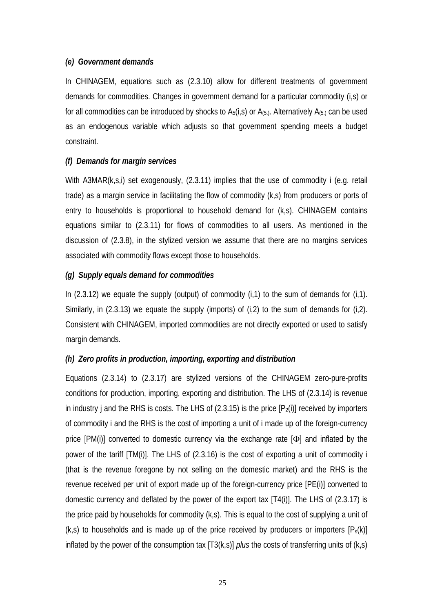#### *(e) Government demands*

In CHINAGEM, equations such as (2.3.10) allow for different treatments of government demands for commodities. Changes in government demand for a particular commodity (i,s) or for all commodities can be introduced by shocks to  $A_5(i,s)$  or  $A_{(5,i)}$ . Alternatively  $A_{(5,i)}$  can be used as an endogenous variable which adjusts so that government spending meets a budget constraint.

#### *(f) Demands for margin services*

With A3MAR(k,s,i) set exogenously, (2.3.11) implies that the use of commodity i (e.g. retail trade) as a margin service in facilitating the flow of commodity (k,s) from producers or ports of entry to households is proportional to household demand for (k,s). CHINAGEM contains equations similar to (2.3.11) for flows of commodities to all users. As mentioned in the discussion of (2.3.8), in the stylized version we assume that there are no margins services associated with commodity flows except those to households.

#### *(g) Supply equals demand for commodities*

In  $(2.3.12)$  we equate the supply (output) of commodity  $(i,1)$  to the sum of demands for  $(i,1)$ . Similarly, in (2.3.13) we equate the supply (imports) of (i,2) to the sum of demands for (i,2). Consistent with CHINAGEM, imported commodities are not directly exported or used to satisfy margin demands.

#### *(h) Zero profits in production, importing, exporting and distribution*

Equations (2.3.14) to (2.3.17) are stylized versions of the CHINAGEM zero-pure-profits conditions for production, importing, exporting and distribution. The LHS of (2.3.14) is revenue in industry j and the RHS is costs. The LHS of  $(2.3.15)$  is the price  $[P_2(i)]$  received by importers of commodity i and the RHS is the cost of importing a unit of i made up of the foreign-currency price [PM(i)] converted to domestic currency via the exchange rate [Φ] and inflated by the power of the tariff [TM(i)]. The LHS of (2.3.16) is the cost of exporting a unit of commodity i (that is the revenue foregone by not selling on the domestic market) and the RHS is the revenue received per unit of export made up of the foreign-currency price [PE(i)] converted to domestic currency and deflated by the power of the export tax [T4(i)]. The LHS of (2.3.17) is the price paid by households for commodity (k,s). This is equal to the cost of supplying a unit of  $(k,s)$  to households and is made up of the price received by producers or importers  $[P_s(k)]$ inflated by the power of the consumption tax [T3(k,s)] *plus* the costs of transferring units of (k,s)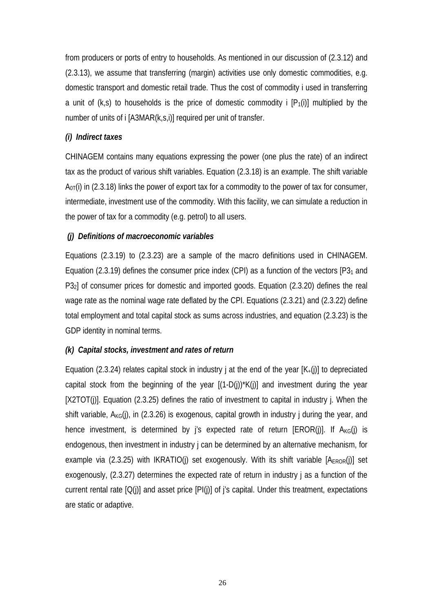from producers or ports of entry to households. As mentioned in our discussion of (2.3.12) and (2.3.13), we assume that transferring (margin) activities use only domestic commodities, e.g. domestic transport and domestic retail trade. Thus the cost of commodity i used in transferring a unit of (k,s) to households is the price of domestic commodity i  $[P_1(i)]$  multiplied by the number of units of i [A3MAR(k,s,i)] required per unit of transfer.

#### *(i) Indirect taxes*

CHINAGEM contains many equations expressing the power (one plus the rate) of an indirect tax as the product of various shift variables. Equation (2.3.18) is an example. The shift variable  $A<sub>0T</sub>(i)$  in (2.3.18) links the power of export tax for a commodity to the power of tax for consumer, intermediate, investment use of the commodity. With this facility, we can simulate a reduction in the power of tax for a commodity (e.g. petrol) to all users.

#### *(j) Definitions of macroeconomic variables*

Equations (2.3.19) to (2.3.23) are a sample of the macro definitions used in CHINAGEM. Equation (2.3.19) defines the consumer price index (CPI) as a function of the vectors  $[P3<sub>1</sub>$  and P32] of consumer prices for domestic and imported goods. Equation (2.3.20) defines the real wage rate as the nominal wage rate deflated by the CPI. Equations (2.3.21) and (2.3.22) define total employment and total capital stock as sums across industries, and equation (2.3.23) is the GDP identity in nominal terms.

#### *(k) Capital stocks, investment and rates of return*

Equation (2.3.24) relates capital stock in industry j at the end of the year  $[K_{+}(i)]$  to depreciated capital stock from the beginning of the year  $[(1-D(j))^*K(j)]$  and investment during the year [X2TOT(j)]. Equation (2.3.25) defines the ratio of investment to capital in industry j. When the shift variable,  $A_{KG}(i)$ , in (2.3.26) is exogenous, capital growth in industry j during the year, and hence investment, is determined by  $i$ 's expected rate of return [EROR(i)]. If  $A_{KG}(i)$  is endogenous, then investment in industry j can be determined by an alternative mechanism, for example via (2.3.25) with IKRATIO(j) set exogenously. With its shift variable  $[A_{EROR}(j)]$  set exogenously, (2.3.27) determines the expected rate of return in industry j as a function of the current rental rate  $[Q(i)]$  and asset price  $[Pl(i)]$  of i's capital. Under this treatment, expectations are static or adaptive.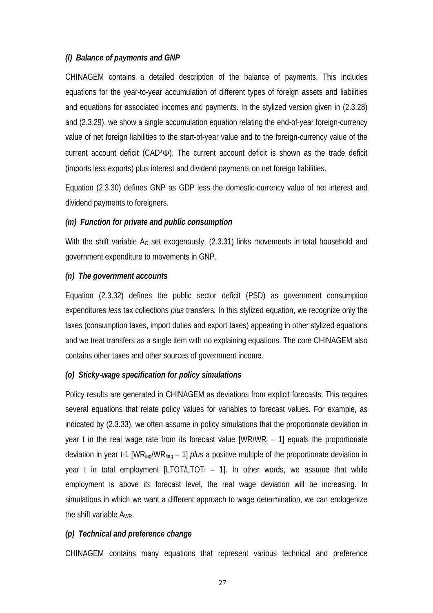#### *(l) Balance of payments and GNP*

CHINAGEM contains a detailed description of the balance of payments. This includes equations for the year-to-year accumulation of different types of foreign assets and liabilities and equations for associated incomes and payments. In the stylized version given in (2.3.28) and (2.3.29), we show a single accumulation equation relating the end-of-year foreign-currency value of net foreign liabilities to the start-of-year value and to the foreign-currency value of the current account deficit (CAD\*Φ). The current account deficit is shown as the trade deficit (imports less exports) plus interest and dividend payments on net foreign liabilities.

Equation (2.3.30) defines GNP as GDP less the domestic-currency value of net interest and dividend payments to foreigners.

#### *(m) Function for private and public consumption*

With the shift variable  $A<sub>C</sub>$  set exogenously, (2.3.31) links movements in total household and government expenditure to movements in GNP.

#### *(n) The government accounts*

Equation (2.3.32) defines the public sector deficit (PSD) as government consumption expenditures *less* tax collections *plus* transfers*.* In this stylized equation, we recognize only the taxes (consumption taxes, import duties and export taxes) appearing in other stylized equations and we treat transfers as a single item with no explaining equations. The core CHINAGEM also contains other taxes and other sources of government income.

#### *(o) Sticky-wage specification for policy simulations*

Policy results are generated in CHINAGEM as deviations from explicit forecasts. This requires several equations that relate policy values for variables to forecast values. For example, as indicated by (2.3.33), we often assume in policy simulations that the proportionate deviation in year t in the real wage rate from its forecast value  $[WR/WR_f - 1]$  equals the proportionate deviation in year t-1 [WRlag/WRflag – 1] *plus* a positive multiple of the proportionate deviation in year t in total employment [LTOT/LTOT<sub>f</sub>  $-$  1]. In other words, we assume that while employment is above its forecast level, the real wage deviation will be increasing. In simulations in which we want a different approach to wage determination, we can endogenize the shift variable A<sub>WR</sub>.

#### *(p) Technical and preference change*

CHINAGEM contains many equations that represent various technical and preference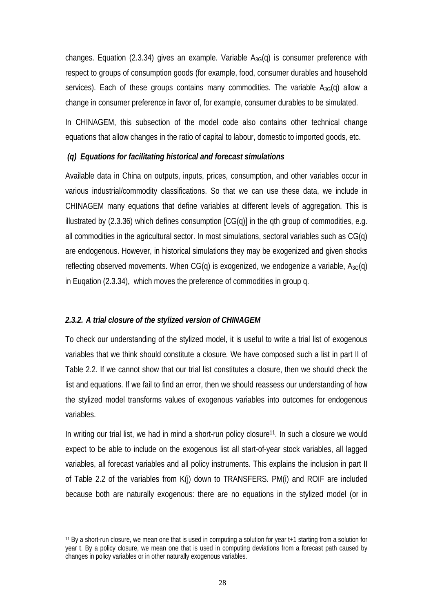changes. Equation (2.3.34) gives an example. Variable  $A_{3G}(q)$  is consumer preference with respect to groups of consumption goods (for example, food, consumer durables and household services). Each of these groups contains many commodities. The variable  $A_{3G}(q)$  allow a change in consumer preference in favor of, for example, consumer durables to be simulated.

In CHINAGEM, this subsection of the model code also contains other technical change equations that allow changes in the ratio of capital to labour, domestic to imported goods, etc.

#### *(q) Equations for facilitating historical and forecast simulations*

Available data in China on outputs, inputs, prices, consumption, and other variables occur in various industrial/commodity classifications. So that we can use these data, we include in CHINAGEM many equations that define variables at different levels of aggregation. This is illustrated by  $(2.3.36)$  which defines consumption  $[CG(q)]$  in the qth group of commodities, e.g. all commodities in the agricultural sector. In most simulations, sectoral variables such as CG(q) are endogenous. However, in historical simulations they may be exogenized and given shocks reflecting observed movements. When  $CG(q)$  is exogenized, we endogenize a variable,  $A_{3G}(q)$ in Euqation (2.3.34), which moves the preference of commodities in group q.

#### *2.3.2. A trial closure of the stylized version of CHINAGEM*

 $\overline{a}$ 

To check our understanding of the stylized model, it is useful to write a trial list of exogenous variables that we think should constitute a closure. We have composed such a list in part II of Table 2.2. If we cannot show that our trial list constitutes a closure, then we should check the list and equations. If we fail to find an error, then we should reassess our understanding of how the stylized model transforms values of exogenous variables into outcomes for endogenous variables.

In writing our trial list, we had in mind a short-run policy closure<sup>11</sup>. In such a closure we would expect to be able to include on the exogenous list all start-of-year stock variables, all lagged variables, all forecast variables and all policy instruments. This explains the inclusion in part II of Table 2.2 of the variables from K(j) down to TRANSFERS. PM(i) and ROIF are included because both are naturally exogenous: there are no equations in the stylized model (or in

<sup>11</sup> By a short-run closure, we mean one that is used in computing a solution for year t+1 starting from a solution for year t. By a policy closure, we mean one that is used in computing deviations from a forecast path caused by changes in policy variables or in other naturally exogenous variables.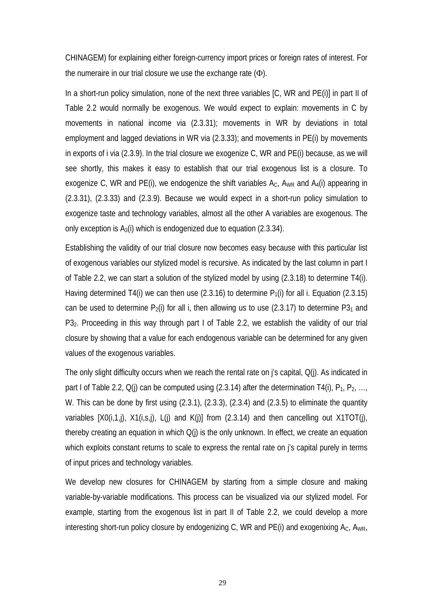CHINAGEM) for explaining either foreign-currency import prices or foreign rates of interest. For the numeraire in our trial closure we use the exchange rate  $(\Phi)$ .

In a short-run policy simulation, none of the next three variables [C, WR and PE(i)] in part II of Table 2.2 would normally be exogenous. We would expect to explain: movements in C by movements in national income via (2.3.31); movements in WR by deviations in total employment and lagged deviations in WR via (2.3.33); and movements in PE(i) by movements in exports of i via (2.3.9). In the trial closure we exogenize C, WR and PE(i) because, as we will see shortly, this makes it easy to establish that our trial exogenous list is a closure. To exogenize C, WR and PE(i), we endogenize the shift variables  $A_{C}$ ,  $A_{WR}$  and  $A_{4}(i)$  appearing in (2.3.31), (2.3.33) and (2.3.9). Because we would expect in a short-run policy simulation to exogenize taste and technology variables, almost all the other A variables are exogenous. The only exception is  $A_3(i)$  which is endogenized due to equation (2.3.34).

Establishing the validity of our trial closure now becomes easy because with this particular list of exogenous variables our stylized model is recursive. As indicated by the last column in part I of Table 2.2, we can start a solution of the stylized model by using (2.3.18) to determine T4(i). Having determined T4(i) we can then use (2.3.16) to determine  $P_1(i)$  for all i. Equation (2.3.15) can be used to determine  $P_2(i)$  for all i, then allowing us to use (2.3.17) to determine P3<sub>1</sub> and P32. Proceeding in this way through part I of Table 2.2, we establish the validity of our trial closure by showing that a value for each endogenous variable can be determined for any given values of the exogenous variables.

The only slight difficulty occurs when we reach the rental rate on j's capital, Q(j). As indicated in part I of Table 2.2,  $Q(i)$  can be computed using (2.3.14) after the determination T4(i),  $P_1, P_2, ...,$ W. This can be done by first using (2.3.1), (2.3.3), (2.3.4) and (2.3.5) to eliminate the quantity variables  $[XO(i,1,j), X1(i,s,j), L(j)$  and  $K(j)]$  from  $(2.3.14)$  and then cancelling out  $X1TOT(j),$ thereby creating an equation in which  $Q(i)$  is the only unknown. In effect, we create an equation which exploits constant returns to scale to express the rental rate on j's capital purely in terms of input prices and technology variables.

We develop new closures for CHINAGEM by starting from a simple closure and making variable-by-variable modifications. This process can be visualized via our stylized model. For example, starting from the exogenous list in part II of Table 2.2, we could develop a more interesting short-run policy closure by endogenizing C, WR and PE(i) and exogenixing  $A_C$ ,  $A_{WR}$ ,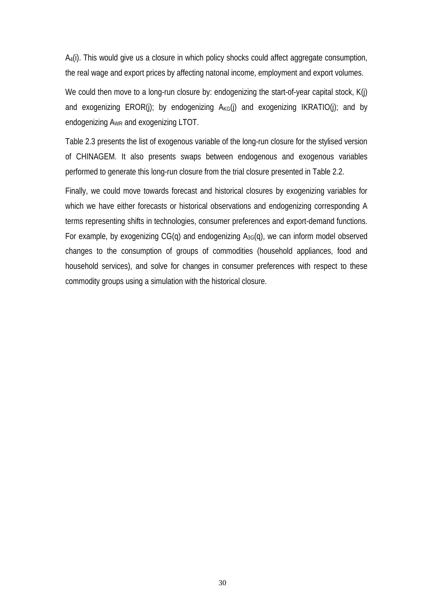A4(i). This would give us a closure in which policy shocks could affect aggregate consumption, the real wage and export prices by affecting natonal income, employment and export volumes.

We could then move to a long-run closure by: endogenizing the start-of-year capital stock, K(j) and exogenizing  $EROR(j)$ ; by endogenizing  $A_{KG}(j)$  and exogenizing  $IKRATION(j)$ ; and by endogenizing AWR and exogenizing LTOT.

Table 2.3 presents the list of exogenous variable of the long-run closure for the stylised version of CHINAGEM. It also presents swaps between endogenous and exogenous variables performed to generate this long-run closure from the trial closure presented in Table 2.2.

Finally, we could move towards forecast and historical closures by exogenizing variables for which we have either forecasts or historical observations and endogenizing corresponding A terms representing shifts in technologies, consumer preferences and export-demand functions. For example, by exogenizing  $CG(q)$  and endogenizing  $A_{3G}(q)$ , we can inform model observed changes to the consumption of groups of commodities (household appliances, food and household services), and solve for changes in consumer preferences with respect to these commodity groups using a simulation with the historical closure.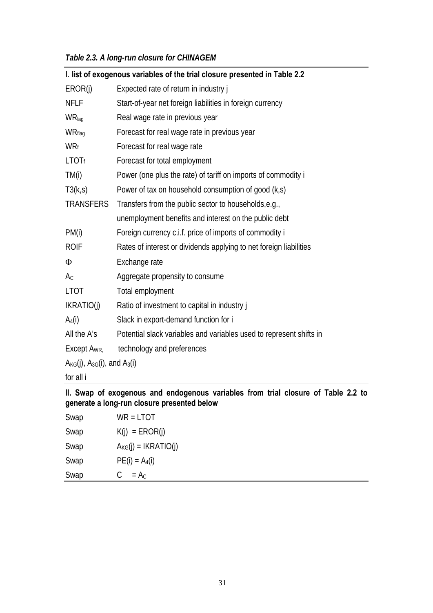| Table 2.3. A long-run closure for CHINAGEM |  |  |
|--------------------------------------------|--|--|
|--------------------------------------------|--|--|

|                                            | I. list of exogenous variables of the trial closure presented in Table 2.2 |
|--------------------------------------------|----------------------------------------------------------------------------|
| EROR(j)                                    | Expected rate of return in industry j                                      |
| <b>NFLF</b>                                | Start-of-year net foreign liabilities in foreign currency                  |
| WRlag                                      | Real wage rate in previous year                                            |
| WRflag                                     | Forecast for real wage rate in previous year                               |
| <b>WRf</b>                                 | Forecast for real wage rate                                                |
| <b>LTOTf</b>                               | Forecast for total employment                                              |
| TM(i)                                      | Power (one plus the rate) of tariff on imports of commodity i              |
| T3(k,s)                                    | Power of tax on household consumption of good (k,s)                        |
| <b>TRANSFERS</b>                           | Transfers from the public sector to households, e.g.,                      |
|                                            | unemployment benefits and interest on the public debt                      |
| PM(i)                                      | Foreign currency c.i.f. price of imports of commodity i                    |
| <b>ROIF</b>                                | Rates of interest or dividends applying to net foreign liabilities         |
| Φ                                          | Exchange rate                                                              |
| $A_{C}$                                    | Aggregate propensity to consume                                            |
| <b>LTOT</b>                                | Total employment                                                           |
| IKRATIO(j)                                 | Ratio of investment to capital in industry j                               |
| $A_4(i)$                                   | Slack in export-demand function for i                                      |
| All the A's                                | Potential slack variables and variables used to represent shifts in        |
| Except A <sub>WR.</sub>                    | technology and preferences                                                 |
| $A_{KG}(j)$ , $A_{3G}(i)$ , and $A_{3}(i)$ |                                                                            |
| for all i                                  |                                                                            |

**II. Swap of exogenous and endogenous variables from trial closure of Table 2.2 to generate a long-run closure presented below** 

| Swap | $WR = LTOT$              |
|------|--------------------------|
| Swap | $K(i) = EROR(i)$         |
| Swap | $A_{KG}(j) = IKRATIO(i)$ |
| Swap | $PE(i) = A_4(i)$         |
| Swap | $= A_C$<br>C.            |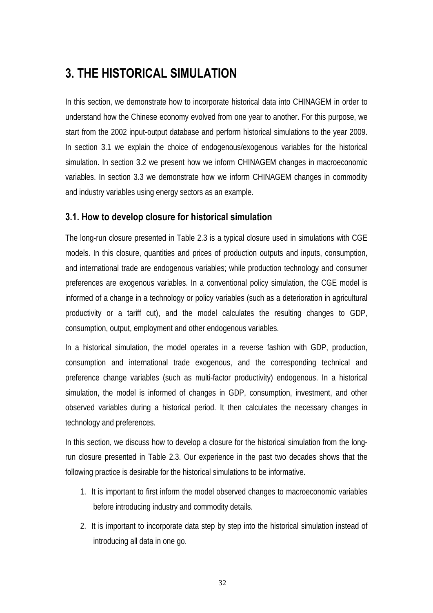## **3. THE HISTORICAL SIMULATION**

In this section, we demonstrate how to incorporate historical data into CHINAGEM in order to understand how the Chinese economy evolved from one year to another. For this purpose, we start from the 2002 input-output database and perform historical simulations to the year 2009. In section 3.1 we explain the choice of endogenous/exogenous variables for the historical simulation. In section 3.2 we present how we inform CHINAGEM changes in macroeconomic variables. In section 3.3 we demonstrate how we inform CHINAGEM changes in commodity and industry variables using energy sectors as an example.

#### **3.1. How to develop closure for historical simulation**

The long-run closure presented in Table 2.3 is a typical closure used in simulations with CGE models. In this closure, quantities and prices of production outputs and inputs, consumption, and international trade are endogenous variables; while production technology and consumer preferences are exogenous variables. In a conventional policy simulation, the CGE model is informed of a change in a technology or policy variables (such as a deterioration in agricultural productivity or a tariff cut), and the model calculates the resulting changes to GDP, consumption, output, employment and other endogenous variables.

In a historical simulation, the model operates in a reverse fashion with GDP, production, consumption and international trade exogenous, and the corresponding technical and preference change variables (such as multi-factor productivity) endogenous. In a historical simulation, the model is informed of changes in GDP, consumption, investment, and other observed variables during a historical period. It then calculates the necessary changes in technology and preferences.

In this section, we discuss how to develop a closure for the historical simulation from the longrun closure presented in Table 2.3. Our experience in the past two decades shows that the following practice is desirable for the historical simulations to be informative.

- 1. It is important to first inform the model observed changes to macroeconomic variables before introducing industry and commodity details.
- 2. It is important to incorporate data step by step into the historical simulation instead of introducing all data in one go.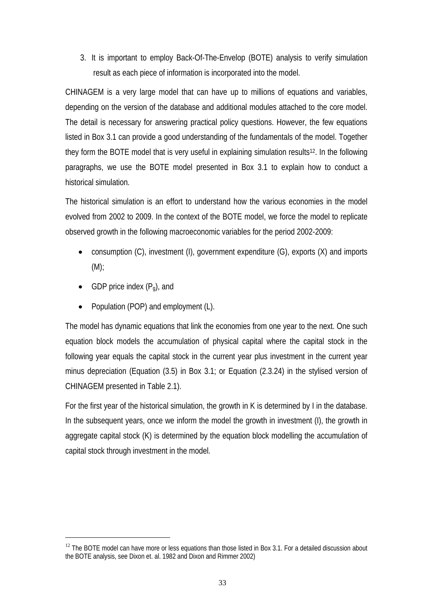3. It is important to employ Back-Of-The-Envelop (BOTE) analysis to verify simulation result as each piece of information is incorporated into the model.

CHINAGEM is a very large model that can have up to millions of equations and variables, depending on the version of the database and additional modules attached to the core model. The detail is necessary for answering practical policy questions. However, the few equations listed in Box 3.1 can provide a good understanding of the fundamentals of the model. Together they form the BOTE model that is very useful in explaining simulation results12. In the following paragraphs, we use the BOTE model presented in Box 3.1 to explain how to conduct a historical simulation.

The historical simulation is an effort to understand how the various economies in the model evolved from 2002 to 2009. In the context of the BOTE model, we force the model to replicate observed growth in the following macroeconomic variables for the period 2002-2009:

- consumption (C), investment (I), government expenditure (G), exports (X) and imports (M);
- GDP price index  $(P_q)$ , and

 $\overline{a}$ 

• Population (POP) and employment (L).

The model has dynamic equations that link the economies from one year to the next. One such equation block models the accumulation of physical capital where the capital stock in the following year equals the capital stock in the current year plus investment in the current year minus depreciation (Equation (3.5) in Box 3.1; or Equation (2.3.24) in the stylised version of CHINAGEM presented in Table 2.1).

For the first year of the historical simulation, the growth in K is determined by I in the database. In the subsequent years, once we inform the model the growth in investment (I), the growth in aggregate capital stock (K) is determined by the equation block modelling the accumulation of capital stock through investment in the model.

 $12$  The BOTE model can have more or less equations than those listed in Box 3.1. For a detailed discussion about the BOTE analysis, see Dixon et. al. 1982 and Dixon and Rimmer 2002)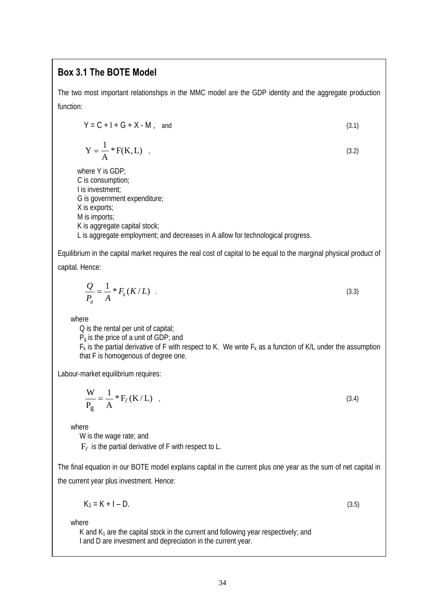#### **Box 3.1 The BOTE Model**

The two most important relationships in the MMC model are the GDP identity and the aggregate production function:

$$
Y = C + I + G + X - M, \quad \text{and} \tag{3.1}
$$

$$
Y = \frac{1}{A} * F(K, L) \tag{3.2}
$$

where Y is GDP; C is consumption; I is investment; G is government expenditure; X is exports; M is imports; K is aggregate capital stock; L is aggregate employment; and decreases in A allow for technological progress.

Equilibrium in the capital market requires the real cost of capital to be equal to the marginal physical product of capital. Hence:

$$
\frac{Q}{P_g} = \frac{1}{A} * F_k(K/L) \tag{3.3}
$$

where

Q is the rental per unit of capital;

Pg is the price of a unit of GDP; and

 $F_k$  is the partial derivative of F with respect to K. We write  $F_k$  as a function of K/L under the assumption that F is homogenous of degree one.

Labour-market equilibrium requires:

$$
\frac{W}{P_g} = \frac{1}{A} * F_{\ell}(K/L) \tag{3.4}
$$

where

W is the wage rate; and  $F_\ell$  is the partial derivative of F with respect to L.

The final equation in our BOTE model explains capital in the current plus one year as the sum of net capital in the current year plus investment. Hence:

$$
K_1 = K + I - D. \tag{3.5}
$$

where

K and  $K_1$  are the capital stock in the current and following year respectively; and I and D are investment and depreciation in the current year.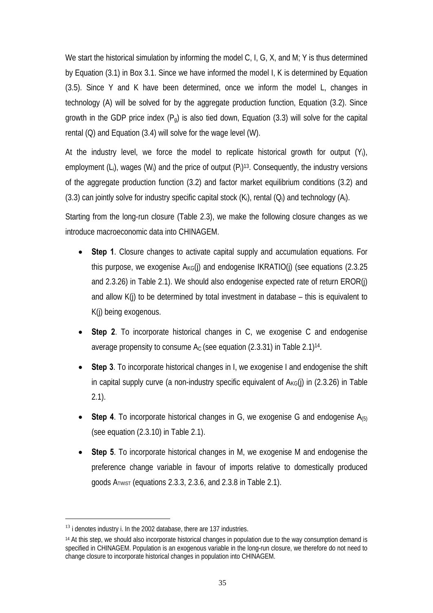We start the historical simulation by informing the model C, I, G, X, and M; Y is thus determined by Equation (3.1) in Box 3.1. Since we have informed the model I, K is determined by Equation (3.5). Since Y and K have been determined, once we inform the model L, changes in technology (A) will be solved for by the aggregate production function, Equation (3.2). Since growth in the GDP price index  $(P_q)$  is also tied down, Equation (3.3) will solve for the capital rental (Q) and Equation (3.4) will solve for the wage level (W).

At the industry level, we force the model to replicate historical growth for output (Yi), employment (L<sub>i</sub>), wages (W<sub>i</sub>) and the price of output  $(P_i)^{13}$ . Consequently, the industry versions of the aggregate production function (3.2) and factor market equilibrium conditions (3.2) and  $(3.3)$  can jointly solve for industry specific capital stock  $(K_i)$ , rental  $(O_i)$  and technology  $(A_i)$ .

Starting from the long-run closure (Table 2.3), we make the following closure changes as we introduce macroeconomic data into CHINAGEM.

- **Step 1**. Closure changes to activate capital supply and accumulation equations. For this purpose, we exogenise  $A_{KG}(i)$  and endogenise IKRATIO(i) (see equations (2.3.25 and 2.3.26) in Table 2.1). We should also endogenise expected rate of return EROR(j) and allow K(j) to be determined by total investment in database – this is equivalent to K(j) being exogenous.
- **Step 2**. To incorporate historical changes in C, we exogenise C and endogenise average propensity to consume  $A<sub>C</sub>$  (see equation (2.3.31) in Table 2.1)<sup>14</sup>.
- **Step 3**. To incorporate historical changes in I, we exogenise I and endogenise the shift in capital supply curve (a non-industry specific equivalent of  $A_{KG}(j)$  in (2.3.26) in Table 2.1).
- **Step 4**. To incorporate historical changes in G, we exogenise G and endogenise A(5) (see equation (2.3.10) in Table 2.1).
- **Step 5**. To incorporate historical changes in M, we exogenise M and endogenise the preference change variable in favour of imports relative to domestically produced goods  $A_{TWST}$  (equations 2.3.3, 2.3.6, and 2.3.8 in Table 2.1).

<sup>&</sup>lt;sup>13</sup> i denotes industry i. In the 2002 database, there are 137 industries.

<sup>&</sup>lt;sup>14</sup> At this step, we should also incorporate historical changes in population due to the way consumption demand is specified in CHINAGEM. Population is an exogenous variable in the long-run closure, we therefore do not need to change closure to incorporate historical changes in population into CHINAGEM.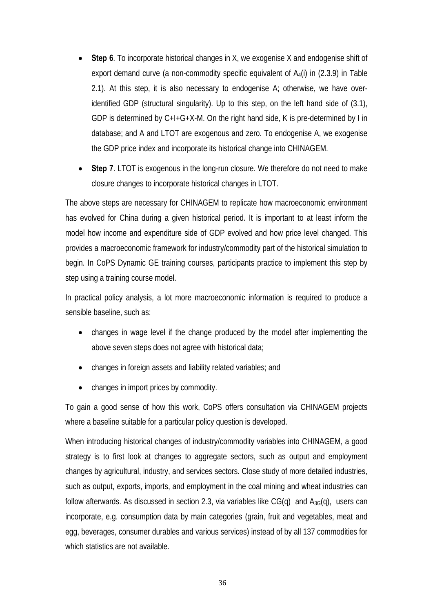- **Step 6**. To incorporate historical changes in X, we exogenise X and endogenise shift of export demand curve (a non-commodity specific equivalent of  $A_4(i)$  in (2.3.9) in Table 2.1). At this step, it is also necessary to endogenise A; otherwise, we have overidentified GDP (structural singularity). Up to this step, on the left hand side of (3.1), GDP is determined by C+I+G+X-M. On the right hand side, K is pre-determined by I in database; and A and LTOT are exogenous and zero. To endogenise A, we exogenise the GDP price index and incorporate its historical change into CHINAGEM.
- **Step 7**. LTOT is exogenous in the long-run closure. We therefore do not need to make closure changes to incorporate historical changes in LTOT.

The above steps are necessary for CHINAGEM to replicate how macroeconomic environment has evolved for China during a given historical period. It is important to at least inform the model how income and expenditure side of GDP evolved and how price level changed. This provides a macroeconomic framework for industry/commodity part of the historical simulation to begin. In CoPS Dynamic GE training courses, participants practice to implement this step by step using a training course model.

In practical policy analysis, a lot more macroeconomic information is required to produce a sensible baseline, such as:

- changes in wage level if the change produced by the model after implementing the above seven steps does not agree with historical data;
- changes in foreign assets and liability related variables; and
- changes in import prices by commodity.

To gain a good sense of how this work, CoPS offers consultation via CHINAGEM projects where a baseline suitable for a particular policy question is developed.

When introducing historical changes of industry/commodity variables into CHINAGEM, a good strategy is to first look at changes to aggregate sectors, such as output and employment changes by agricultural, industry, and services sectors. Close study of more detailed industries, such as output, exports, imports, and employment in the coal mining and wheat industries can follow afterwards. As discussed in section 2.3, via variables like  $CG(q)$  and  $A_{3G}(q)$ , users can incorporate, e.g. consumption data by main categories (grain, fruit and vegetables, meat and egg, beverages, consumer durables and various services) instead of by all 137 commodities for which statistics are not available.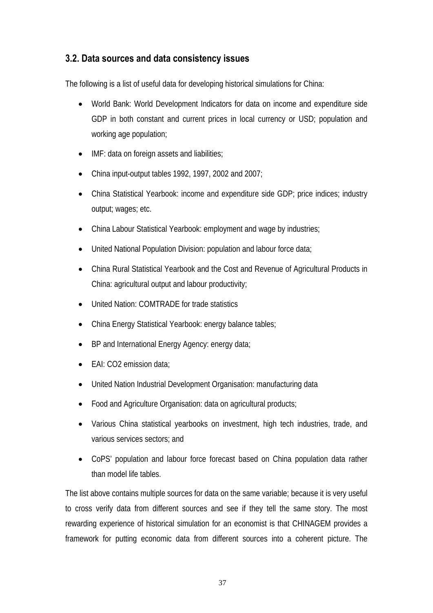#### **3.2. Data sources and data consistency issues**

The following is a list of useful data for developing historical simulations for China:

- World Bank: World Development Indicators for data on income and expenditure side GDP in both constant and current prices in local currency or USD; population and working age population;
- IMF: data on foreign assets and liabilities;
- China input-output tables 1992, 1997, 2002 and 2007;
- China Statistical Yearbook: income and expenditure side GDP; price indices; industry output; wages; etc.
- China Labour Statistical Yearbook: employment and wage by industries;
- United National Population Division: population and labour force data;
- China Rural Statistical Yearbook and the Cost and Revenue of Agricultural Products in China: agricultural output and labour productivity;
- United Nation: COMTRADE for trade statistics
- China Energy Statistical Yearbook: energy balance tables;
- BP and International Energy Agency: energy data;
- EAI: CO2 emission data:
- United Nation Industrial Development Organisation: manufacturing data
- Food and Agriculture Organisation: data on agricultural products;
- Various China statistical yearbooks on investment, high tech industries, trade, and various services sectors; and
- CoPS' population and labour force forecast based on China population data rather than model life tables.

The list above contains multiple sources for data on the same variable; because it is very useful to cross verify data from different sources and see if they tell the same story. The most rewarding experience of historical simulation for an economist is that CHINAGEM provides a framework for putting economic data from different sources into a coherent picture. The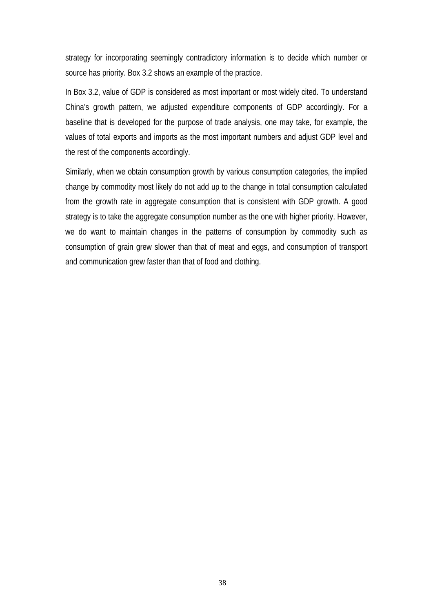strategy for incorporating seemingly contradictory information is to decide which number or source has priority. Box 3.2 shows an example of the practice.

In Box 3.2, value of GDP is considered as most important or most widely cited. To understand China's growth pattern, we adjusted expenditure components of GDP accordingly. For a baseline that is developed for the purpose of trade analysis, one may take, for example, the values of total exports and imports as the most important numbers and adjust GDP level and the rest of the components accordingly.

Similarly, when we obtain consumption growth by various consumption categories, the implied change by commodity most likely do not add up to the change in total consumption calculated from the growth rate in aggregate consumption that is consistent with GDP growth. A good strategy is to take the aggregate consumption number as the one with higher priority. However, we do want to maintain changes in the patterns of consumption by commodity such as consumption of grain grew slower than that of meat and eggs, and consumption of transport and communication grew faster than that of food and clothing.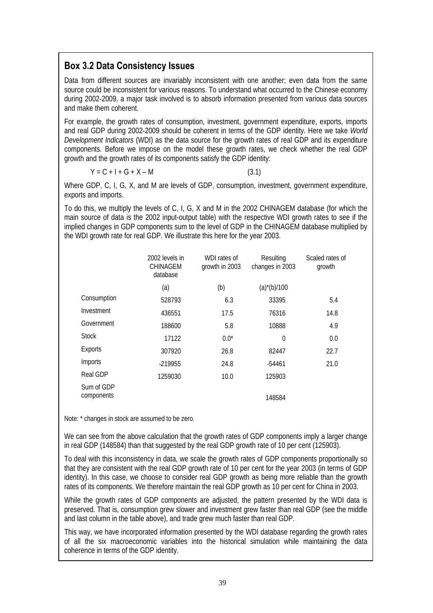#### **Box 3.2 Data Consistency Issues**

Data from different sources are invariably inconsistent with one another; even data from the same source could be inconsistent for various reasons. To understand what occurred to the Chinese economy during 2002-2009, a major task involved is to absorb information presented from various data sources and make them coherent.

For example, the growth rates of consumption, investment, government expenditure, exports, imports and real GDP during 2002-2009 should be coherent in terms of the GDP identity. Here we take *World Development Indicators* (WDI) as the data source for the growth rates of real GDP and its expenditure components. Before we impose on the model these growth rates, we check whether the real GDP growth and the growth rates of its components satisfy the GDP identity:

 $Y = C + I + G + X - M$  (3.1)

Where GDP, C, I, G, X, and M are levels of GDP, consumption, investment, government expenditure, exports and imports.

To do this, we multiply the levels of C, I, G, X and M in the 2002 CHINAGEM database (for which the main source of data is the 2002 input-output table) with the respective WDI growth rates to see if the implied changes in GDP components sum to the level of GDP in the CHINAGEM database multiplied by the WDI growth rate for real GDP. We illustrate this here for the year 2003.

|                          | 2002 levels in<br><b>CHINAGEM</b><br>database | WDI rates of<br>growth in 2003 | Resulting<br>changes in 2003 | Scaled rates of<br>growth |
|--------------------------|-----------------------------------------------|--------------------------------|------------------------------|---------------------------|
|                          | (a)                                           | (b)                            | $(a)$ <sup>*</sup> (b)/100   |                           |
| Consumption              | 528793                                        | 6.3                            | 33395                        | 5.4                       |
| Investment               | 436551                                        | 17.5                           | 76316                        | 14.8                      |
| Government               | 188600                                        | 5.8                            | 10888                        | 4.9                       |
| <b>Stock</b>             | 17122                                         | $0.0*$                         | $\mathbf 0$                  | 0.0                       |
| Exports                  | 307920                                        | 26.8                           | 82447                        | 22.7                      |
| Imports                  | $-219955$                                     | 24.8                           | $-54461$                     | 21.0                      |
| Real GDP                 | 1259030                                       | 10.0                           | 125903                       |                           |
| Sum of GDP<br>components |                                               |                                | 148584                       |                           |

Note: \* changes in stock are assumed to be zero.

We can see from the above calculation that the growth rates of GDP components imply a larger change in real GDP (148584) than that suggested by the real GDP growth rate of 10 per cent (125903).

To deal with this inconsistency in data, we scale the growth rates of GDP components proportionally so that they are consistent with the real GDP growth rate of 10 per cent for the year 2003 (in terms of GDP identity). In this case, we choose to consider real GDP growth as being more reliable than the growth rates of its components. We therefore maintain the real GDP growth as 10 per cent for China in 2003.

While the growth rates of GDP components are adjusted, the pattern presented by the WDI data is preserved. That is, consumption grew slower and investment grew faster than real GDP (see the middle and last column in the table above), and trade grew much faster than real GDP.

This way, we have incorporated information presented by the WDI database regarding the growth rates of all the six macroeconomic variables into the historical simulation while maintaining the data coherence in terms of the GDP identity.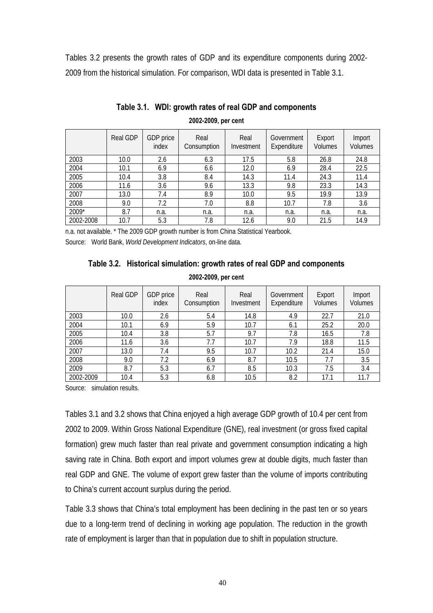Tables 3.2 presents the growth rates of GDP and its expenditure components during 2002- 2009 from the historical simulation. For comparison, WDI data is presented in Table 3.1.

|           | Real GDP | GDP price<br>index | Real<br>Consumption | Real<br>Investment | Government<br>Expenditure | Export<br>Volumes | Import<br>Volumes |
|-----------|----------|--------------------|---------------------|--------------------|---------------------------|-------------------|-------------------|
| 2003      | 10.0     | 2.6                | 6.3                 | 17.5               | 5.8                       | 26.8              | 24.8              |
| 2004      | 10.1     | 6.9                | 6.6                 | 12.0               | 6.9                       | 28.4              | 22.5              |
| 2005      | 10.4     | 3.8                | 8.4                 | 14.3               | 11.4                      | 24.3              | 11.4              |
| 2006      | 11.6     | 3.6                | 9.6                 | 13.3               | 9.8                       | 23.3              | 14.3              |
| 2007      | 13.0     | 7.4                | 8.9                 | 10.0               | 9.5                       | 19.9              | 13.9              |
| 2008      | 9.0      | 7.2                | 7.0                 | 8.8                | 10.7                      | 7.8               | 3.6               |
| 2009*     | 8.7      | n.a.               | n.a.                | n.a.               | n.a.                      | n.a.              | n.a.              |
| 2002-2008 | 10.7     | 5.3                | 7.8                 | 12.6               | 9.0                       | 21.5              | 14.9              |

#### **Table 3.1. WDI: growth rates of real GDP and components 2002-2009, per cent**

n.a. not available. \* The 2009 GDP growth number is from China Statistical Yearbook. Source: World Bank, *World Development Indicators*, on-line data.

#### **Table 3.2. Historical simulation: growth rates of real GDP and components**

**2002-2009, per cent** 

|           | Real GDP | GDP price<br>index | Real<br>Consumption | Real<br>Investment | Government<br>Expenditure | Export<br>Volumes | Import<br>Volumes |
|-----------|----------|--------------------|---------------------|--------------------|---------------------------|-------------------|-------------------|
| 2003      | 10.0     | 2.6                | 5.4                 | 14.8               | 4.9                       | 22.7              | 21.0              |
| 2004      | 10.1     | 6.9                | 5.9                 | 10.7               | 6.1                       | 25.2              | 20.0              |
| 2005      | 10.4     | 3.8                | 5.7                 | 9.7                | 7.8                       | 16.5              | 7.8               |
| 2006      | 11.6     | 3.6                | 7.7                 | 10.7               | 7.9                       | 18.8              | 11.5              |
| 2007      | 13.0     | 7.4                | 9.5                 | 10.7               | 10.2                      | 21.4              | 15.0              |
| 2008      | 9.0      | 7.2                | 6.9                 | 8.7                | 10.5                      | 7.7               | 3.5               |
| 2009      | 8.7      | 5.3                | 6.7                 | 8.5                | 10.3                      | 7.5               | 3.4               |
| 2002-2009 | 10.4     | 5.3                | 6.8                 | 10.5               | 8.2                       | 17.1              | 11.7              |

Source: simulation results.

Tables 3.1 and 3.2 shows that China enjoyed a high average GDP growth of 10.4 per cent from 2002 to 2009. Within Gross National Expenditure (GNE), real investment (or gross fixed capital formation) grew much faster than real private and government consumption indicating a high saving rate in China. Both export and import volumes grew at double digits, much faster than real GDP and GNE. The volume of export grew faster than the volume of imports contributing to China's current account surplus during the period.

Table 3.3 shows that China's total employment has been declining in the past ten or so years due to a long-term trend of declining in working age population. The reduction in the growth rate of employment is larger than that in population due to shift in population structure.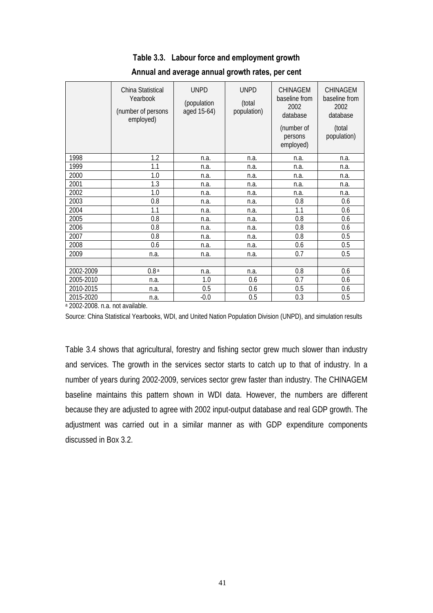|           | China Statistical<br>Yearbook<br>(number of persons<br>employed) | <b>UNPD</b><br>(population<br>aged 15-64) | <b>UNPD</b><br>(total<br>population) | <b>CHINAGEM</b><br>baseline from<br>2002<br>database<br>(number of<br>persons<br>employed) | <b>CHINAGEM</b><br>baseline from<br>2002<br>database<br>(total<br>population) |
|-----------|------------------------------------------------------------------|-------------------------------------------|--------------------------------------|--------------------------------------------------------------------------------------------|-------------------------------------------------------------------------------|
| 1998      | 1.2                                                              | n.a.                                      | n.a.                                 | n.a.                                                                                       | n.a.                                                                          |
| 1999      | 1.1                                                              | n.a.                                      | n.a.                                 | n.a.                                                                                       | n.a.                                                                          |
| 2000      | 1.0                                                              | n.a.                                      | n.a.                                 | n.a.                                                                                       | n.a.                                                                          |
| 2001      | 1.3                                                              | n.a.                                      | n.a.                                 | n.a.                                                                                       | n.a.                                                                          |
| 2002      | 1.0                                                              | n.a.                                      | n.a.                                 | n.a.                                                                                       | n.a.                                                                          |
| 2003      | 0.8                                                              | n.a.                                      | n.a.                                 | 0.8                                                                                        | 0.6                                                                           |
| 2004      | 1.1                                                              | n.a.                                      | n.a.                                 | 1.1                                                                                        | 0.6                                                                           |
| 2005      | 0.8                                                              | n.a.                                      | n.a.                                 | 0.8                                                                                        | 0.6                                                                           |
| 2006      | 0.8                                                              | n.a.                                      | n.a.                                 | 0.8                                                                                        | 0.6                                                                           |
| 2007      | 0.8                                                              | n.a.                                      | n.a.                                 | 0.8                                                                                        | 0.5                                                                           |
| 2008      | 0.6                                                              | n.a.                                      | n.a.                                 | 0.6                                                                                        | 0.5                                                                           |
| 2009      | n.a.                                                             | n.a.                                      | n.a.                                 | 0.7                                                                                        | 0.5                                                                           |
|           |                                                                  |                                           |                                      |                                                                                            |                                                                               |
| 2002-2009 | 0.8 <sup>a</sup>                                                 | n.a.                                      | n.a.                                 | 0.8                                                                                        | 0.6                                                                           |
| 2005-2010 | n.a.                                                             | 1.0                                       | 0.6                                  | 0.7                                                                                        | 0.6                                                                           |
| 2010-2015 | n.a.                                                             | 0.5                                       | 0.6                                  | 0.5                                                                                        | 0.6                                                                           |
| 2015-2020 | n.a.<br>$\cdots$                                                 | $-0.0$                                    | 0.5                                  | 0.3                                                                                        | 0.5                                                                           |

## **Table 3.3. Labour force and employment growth**

**Annual and average annual growth rates, per cent** 

a 2002-2008. n.a. not available.

Source: China Statistical Yearbooks, WDI, and United Nation Population Division (UNPD), and simulation results

Table 3.4 shows that agricultural, forestry and fishing sector grew much slower than industry and services. The growth in the services sector starts to catch up to that of industry. In a number of years during 2002-2009, services sector grew faster than industry. The CHINAGEM baseline maintains this pattern shown in WDI data. However, the numbers are different because they are adjusted to agree with 2002 input-output database and real GDP growth. The adjustment was carried out in a similar manner as with GDP expenditure components discussed in Box 3.2.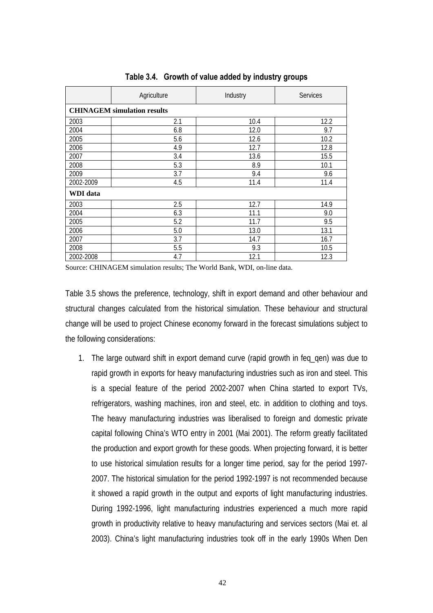|           | Agriculture                        | Industry | <b>Services</b> |  |  |  |
|-----------|------------------------------------|----------|-----------------|--|--|--|
|           | <b>CHINAGEM</b> simulation results |          |                 |  |  |  |
| 2003      | 2.1                                | 10.4     | 12.2            |  |  |  |
| 2004      | 6.8                                | 12.0     | 9.7             |  |  |  |
| 2005      | 5.6                                | 12.6     | 10.2            |  |  |  |
| 2006      | 4.9                                | 12.7     | 12.8            |  |  |  |
| 2007      | 3.4                                | 13.6     | 15.5            |  |  |  |
| 2008      | 5.3                                | 8.9      | 10.1            |  |  |  |
| 2009      | 3.7                                | 9.4      | 9.6             |  |  |  |
| 2002-2009 | 4.5                                | 11.4     | 11.4            |  |  |  |
| WDI data  |                                    |          |                 |  |  |  |
| 2003      | 2.5                                | 12.7     | 14.9            |  |  |  |
| 2004      | 6.3                                | 11.1     | 9.0             |  |  |  |
| 2005      | 5.2                                | 11.7     | 9.5             |  |  |  |
| 2006      | 5.0                                | 13.0     | 13.1            |  |  |  |
| 2007      | 3.7                                | 14.7     | 16.7            |  |  |  |
| 2008      | 5.5                                | 9.3      | 10.5            |  |  |  |
| 2002-2008 | 4.7                                | 12.1     | 12.3            |  |  |  |

**Table 3.4. Growth of value added by industry groups** 

Source: CHINAGEM simulation results; The World Bank, WDI, on-line data.

Table 3.5 shows the preference, technology, shift in export demand and other behaviour and structural changes calculated from the historical simulation. These behaviour and structural change will be used to project Chinese economy forward in the forecast simulations subject to the following considerations:

1. The large outward shift in export demand curve (rapid growth in feq\_qen) was due to rapid growth in exports for heavy manufacturing industries such as iron and steel. This is a special feature of the period 2002-2007 when China started to export TVs, refrigerators, washing machines, iron and steel, etc. in addition to clothing and toys. The heavy manufacturing industries was liberalised to foreign and domestic private capital following China's WTO entry in 2001 (Mai 2001). The reform greatly facilitated the production and export growth for these goods. When projecting forward, it is better to use historical simulation results for a longer time period, say for the period 1997- 2007. The historical simulation for the period 1992-1997 is not recommended because it showed a rapid growth in the output and exports of light manufacturing industries. During 1992-1996, light manufacturing industries experienced a much more rapid growth in productivity relative to heavy manufacturing and services sectors (Mai et. al 2003). China's light manufacturing industries took off in the early 1990s When Den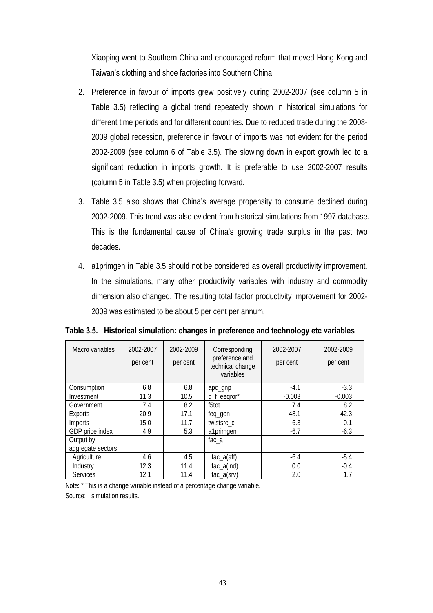Xiaoping went to Southern China and encouraged reform that moved Hong Kong and Taiwan's clothing and shoe factories into Southern China.

- 2. Preference in favour of imports grew positively during 2002-2007 (see column 5 in Table 3.5) reflecting a global trend repeatedly shown in historical simulations for different time periods and for different countries. Due to reduced trade during the 2008- 2009 global recession, preference in favour of imports was not evident for the period 2002-2009 (see column 6 of Table 3.5). The slowing down in export growth led to a significant reduction in imports growth. It is preferable to use 2002-2007 results (column 5 in Table 3.5) when projecting forward.
- 3. Table 3.5 also shows that China's average propensity to consume declined during 2002-2009. This trend was also evident from historical simulations from 1997 database. This is the fundamental cause of China's growing trade surplus in the past two decades.
- 4. a1primgen in Table 3.5 should not be considered as overall productivity improvement. In the simulations, many other productivity variables with industry and commodity dimension also changed. The resulting total factor productivity improvement for 2002- 2009 was estimated to be about 5 per cent per annum.

| Macro variables   | 2002-2007<br>per cent | 2002-2009<br>per cent | Corresponding<br>preference and<br>technical change<br>variables | 2002-2007<br>per cent | 2002-2009<br>per cent |
|-------------------|-----------------------|-----------------------|------------------------------------------------------------------|-----------------------|-----------------------|
| Consumption       | 6.8                   | 6.8                   | apc_gnp                                                          | $-4.1$                | $-3.3$                |
| Investment        | 11.3                  | 10.5                  | d_f_eeqror*                                                      | $-0.003$              | $-0.003$              |
| Government        | 7.4                   | 8.2                   | f5tot                                                            | 7.4                   | 8.2                   |
| Exports           | 20.9                  | 17.1                  | feq_gen                                                          | 48.1                  | 42.3                  |
| Imports           | 15.0                  | 11.7                  | twistsrc_c                                                       | 6.3                   | $-0.1$                |
| GDP price index   | 4.9                   | 5.3                   | a1primgen                                                        | $-6.7$                | $-6.3$                |
| Output by         |                       |                       | $fac_a$                                                          |                       |                       |
| aggregate sectors |                       |                       |                                                                  |                       |                       |
| Agriculture       | 4.6                   | 4.5                   | $fac_a(aff)$                                                     | $-6.4$                | $-5.4$                |
| Industry          | 12.3                  | 11.4                  | $fac_a(ind)$                                                     | 0.0                   | $-0.4$                |
| <b>Services</b>   | 12.1                  | 11.4                  | $fac_a(srv)$                                                     | 2.0                   | 1.7                   |

**Table 3.5. Historical simulation: changes in preference and technology etc variables** 

Note: \* This is a change variable instead of a percentage change variable. Source: simulation results.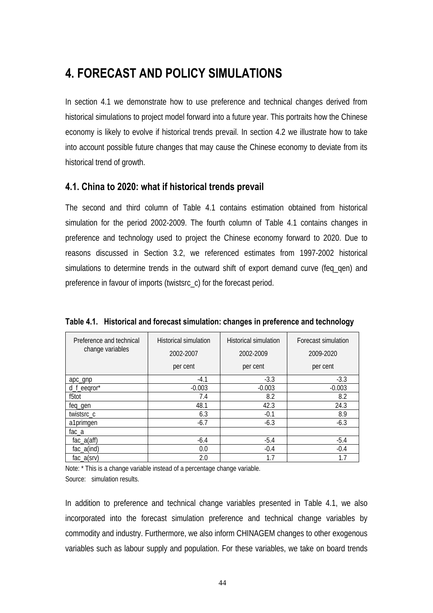## **4. FORECAST AND POLICY SIMULATIONS**

In section 4.1 we demonstrate how to use preference and technical changes derived from historical simulations to project model forward into a future year. This portraits how the Chinese economy is likely to evolve if historical trends prevail. In section 4.2 we illustrate how to take into account possible future changes that may cause the Chinese economy to deviate from its historical trend of growth.

#### **4.1. China to 2020: what if historical trends prevail**

The second and third column of Table 4.1 contains estimation obtained from historical simulation for the period 2002-2009. The fourth column of Table 4.1 contains changes in preference and technology used to project the Chinese economy forward to 2020. Due to reasons discussed in Section 3.2, we referenced estimates from 1997-2002 historical simulations to determine trends in the outward shift of export demand curve (feq qen) and preference in favour of imports (twistsrc\_c) for the forecast period.

| Preference and technical<br>change variables | <b>Historical simulation</b><br>2002-2007<br>per cent | <b>Historical simulation</b><br>2002-2009<br>per cent | Forecast simulation<br>2009-2020<br>per cent |
|----------------------------------------------|-------------------------------------------------------|-------------------------------------------------------|----------------------------------------------|
| apc_gnp                                      | $-4.1$                                                | $-3.3$                                                | $-3.3$                                       |
| d_f_eeqror*                                  | $-0.003$                                              | $-0.003$                                              | $-0.003$                                     |
| f5tot                                        | 7.4                                                   | 8.2                                                   | 8.2                                          |
| feq_gen                                      | 48.1                                                  | 42.3                                                  | 24.3                                         |
| twistsrc_c                                   | 6.3                                                   | $-0.1$                                                | 8.9                                          |
| a1primgen                                    | $-6.7$                                                | $-6.3$                                                | $-6.3$                                       |
| $fac_a$                                      |                                                       |                                                       |                                              |
| $fac_a(aff)$                                 | $-6.4$                                                | $-5.4$                                                | $-5.4$                                       |
| $fac_a$ (ind)                                | 0.0                                                   | $-0.4$                                                | $-0.4$                                       |
| $fac_a(srv)$                                 | 2.0                                                   | 1.7                                                   | 1.7                                          |

**Table 4.1. Historical and forecast simulation: changes in preference and technology** 

Note: \* This is a change variable instead of a percentage change variable. Source: simulation results.

In addition to preference and technical change variables presented in Table 4.1, we also incorporated into the forecast simulation preference and technical change variables by commodity and industry. Furthermore, we also inform CHINAGEM changes to other exogenous variables such as labour supply and population. For these variables, we take on board trends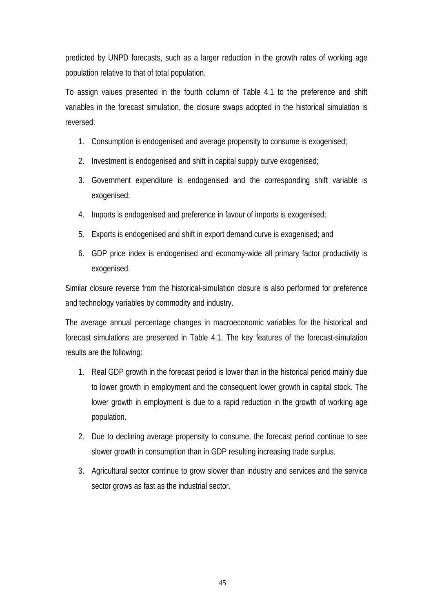predicted by UNPD forecasts, such as a larger reduction in the growth rates of working age population relative to that of total population.

To assign values presented in the fourth column of Table 4.1 to the preference and shift variables in the forecast simulation, the closure swaps adopted in the historical simulation is reversed:

- 1. Consumption is endogenised and average propensity to consume is exogenised;
- 2. Investment is endogenised and shift in capital supply curve exogenised;
- 3. Government expenditure is endogenised and the corresponding shift variable is exogenised;
- 4. Imports is endogenised and preference in favour of imports is exogenised;
- 5. Exports is endogenised and shift in export demand curve is exogenised; and
- 6. GDP price index is endogenised and economy-wide all primary factor productivity is exogenised.

Similar closure reverse from the historical-simulation closure is also performed for preference and technology variables by commodity and industry.

The average annual percentage changes in macroeconomic variables for the historical and forecast simulations are presented in Table 4.1. The key features of the forecast-simulation results are the following:

- 1. Real GDP growth in the forecast period is lower than in the historical period mainly due to lower growth in employment and the consequent lower growth in capital stock. The lower growth in employment is due to a rapid reduction in the growth of working age population.
- 2. Due to declining average propensity to consume, the forecast period continue to see slower growth in consumption than in GDP resulting increasing trade surplus.
- 3. Agricultural sector continue to grow slower than industry and services and the service sector grows as fast as the industrial sector.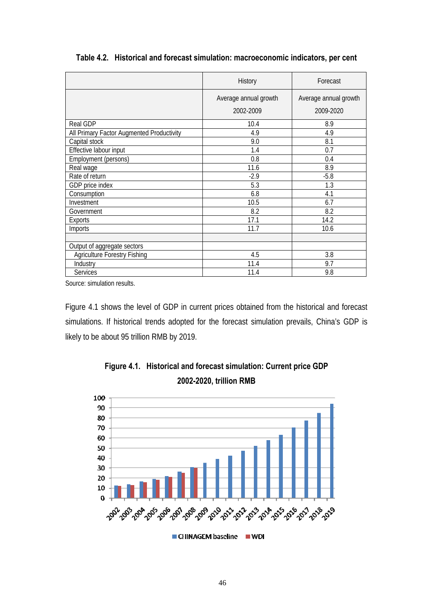|                                           | <b>History</b>        | Forecast              |
|-------------------------------------------|-----------------------|-----------------------|
|                                           | Average annual growth | Average annual growth |
|                                           | 2002-2009             | 2009-2020             |
| <b>Real GDP</b>                           | 10.4                  | 8.9                   |
| All Primary Factor Augmented Productivity | 4.9                   | 4.9                   |
| Capital stock                             | 9.0                   | 8.1                   |
| Effective labour input                    | 1.4                   | 0.7                   |
| Employment (persons)                      | 0.8                   | 0.4                   |
| Real wage                                 | 11.6                  | 8.9                   |
| Rate of return                            | $-2.9$                | $-5.8$                |
| GDP price index                           | 5.3                   | 1.3                   |
| Consumption                               | 6.8                   | 4.1                   |
| Investment                                | 10.5                  | 6.7                   |
| Government                                | 8.2                   | 8.2                   |
| Exports                                   | 17.1                  | 14.2                  |
| Imports                                   | 11.7                  | 10.6                  |
|                                           |                       |                       |
| Output of aggregate sectors               |                       |                       |
| <b>Agriculture Forestry Fishing</b>       | 4.5                   | 3.8                   |
| Industry                                  | 11.4                  | 9.7                   |
| <b>Services</b>                           | 11.4                  | 9.8                   |

**Table 4.2. Historical and forecast simulation: macroeconomic indicators, per cent** 

Source: simulation results.

Figure 4.1 shows the level of GDP in current prices obtained from the historical and forecast simulations. If historical trends adopted for the forecast simulation prevails, China's GDP is likely to be about 95 trillion RMB by 2019.



**Figure 4.1. Historical and forecast simulation: Current price GDP 2002-2020, trillion RMB**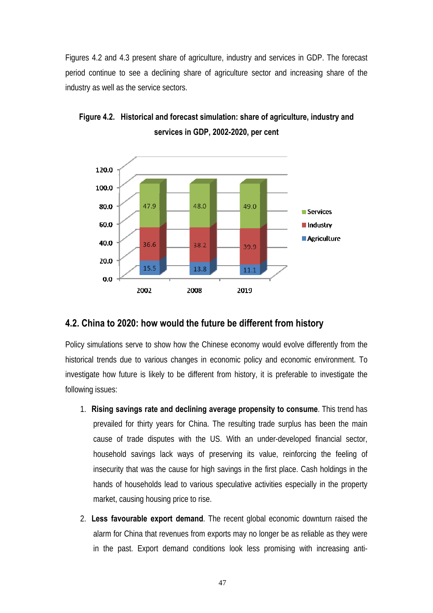Figures 4.2 and 4.3 present share of agriculture, industry and services in GDP. The forecast period continue to see a declining share of agriculture sector and increasing share of the industry as well as the service sectors.



**Figure 4.2. Historical and forecast simulation: share of agriculture, industry and services in GDP, 2002-2020, per cent**

#### **4.2. China to 2020: how would the future be different from history**

Policy simulations serve to show how the Chinese economy would evolve differently from the historical trends due to various changes in economic policy and economic environment. To investigate how future is likely to be different from history, it is preferable to investigate the following issues:

- 1. **Rising savings rate and declining average propensity to consume**. This trend has prevailed for thirty years for China. The resulting trade surplus has been the main cause of trade disputes with the US. With an under-developed financial sector, household savings lack ways of preserving its value, reinforcing the feeling of insecurity that was the cause for high savings in the first place. Cash holdings in the hands of households lead to various speculative activities especially in the property market, causing housing price to rise.
- 2. **Less favourable export demand**. The recent global economic downturn raised the alarm for China that revenues from exports may no longer be as reliable as they were in the past. Export demand conditions look less promising with increasing anti-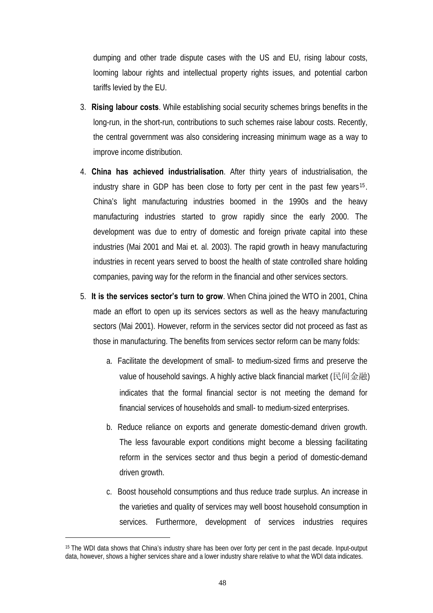dumping and other trade dispute cases with the US and EU, rising labour costs, looming labour rights and intellectual property rights issues, and potential carbon tariffs levied by the EU.

- 3. **Rising labour costs**. While establishing social security schemes brings benefits in the long-run, in the short-run, contributions to such schemes raise labour costs. Recently, the central government was also considering increasing minimum wage as a way to improve income distribution.
- 4. **China has achieved industrialisation**. After thirty years of industrialisation, the industry share in GDP has been close to forty per cent in the past few years<sup>15</sup>. China's light manufacturing industries boomed in the 1990s and the heavy manufacturing industries started to grow rapidly since the early 2000. The development was due to entry of domestic and foreign private capital into these industries (Mai 2001 and Mai et. al. 2003). The rapid growth in heavy manufacturing industries in recent years served to boost the health of state controlled share holding companies, paving way for the reform in the financial and other services sectors.
- 5. **It is the services sector's turn to grow**. When China joined the WTO in 2001, China made an effort to open up its services sectors as well as the heavy manufacturing sectors (Mai 2001). However, reform in the services sector did not proceed as fast as those in manufacturing. The benefits from services sector reform can be many folds:
	- a. Facilitate the development of small- to medium-sized firms and preserve the value of household savings. A highly active black financial market (民间金融) indicates that the formal financial sector is not meeting the demand for financial services of households and small- to medium-sized enterprises.
	- b. Reduce reliance on exports and generate domestic-demand driven growth. The less favourable export conditions might become a blessing facilitating reform in the services sector and thus begin a period of domestic-demand driven growth.
	- c. Boost household consumptions and thus reduce trade surplus. An increase in the varieties and quality of services may well boost household consumption in services. Furthermore, development of services industries requires

 $\overline{a}$ 

<sup>15</sup> The WDI data shows that China's industry share has been over forty per cent in the past decade. Input-output data, however, shows a higher services share and a lower industry share relative to what the WDI data indicates.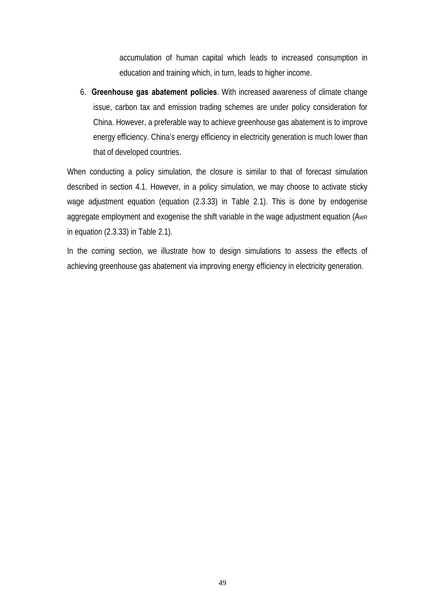accumulation of human capital which leads to increased consumption in education and training which, in turn, leads to higher income.

6. **Greenhouse gas abatement policies**. With increased awareness of climate change issue, carbon tax and emission trading schemes are under policy consideration for China. However, a preferable way to achieve greenhouse gas abatement is to improve energy efficiency. China's energy efficiency in electricity generation is much lower than that of developed countries.

When conducting a policy simulation, the closure is similar to that of forecast simulation described in section 4.1. However, in a policy simulation, we may choose to activate sticky wage adjustment equation (equation (2.3.33) in Table 2.1). This is done by endogenise aggregate employment and exogenise the shift variable in the wage adjustment equation (AWR in equation (2.3.33) in Table 2.1).

In the coming section, we illustrate how to design simulations to assess the effects of achieving greenhouse gas abatement via improving energy efficiency in electricity generation.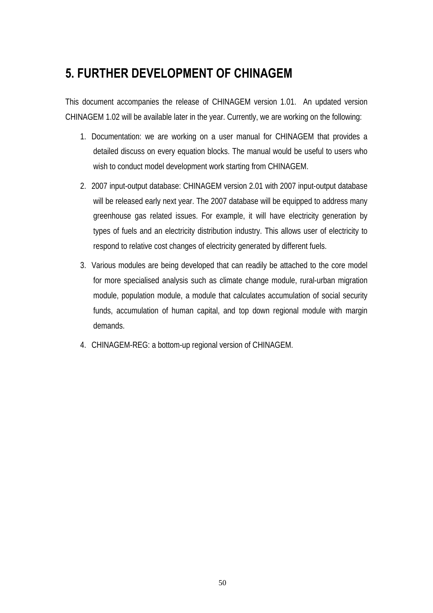## **5. FURTHER DEVELOPMENT OF CHINAGEM**

This document accompanies the release of CHINAGEM version 1.01. An updated version CHINAGEM 1.02 will be available later in the year. Currently, we are working on the following:

- 1. Documentation: we are working on a user manual for CHINAGEM that provides a detailed discuss on every equation blocks. The manual would be useful to users who wish to conduct model development work starting from CHINAGEM.
- 2. 2007 input-output database: CHINAGEM version 2.01 with 2007 input-output database will be released early next year. The 2007 database will be equipped to address many greenhouse gas related issues. For example, it will have electricity generation by types of fuels and an electricity distribution industry. This allows user of electricity to respond to relative cost changes of electricity generated by different fuels.
- 3. Various modules are being developed that can readily be attached to the core model for more specialised analysis such as climate change module, rural-urban migration module, population module, a module that calculates accumulation of social security funds, accumulation of human capital, and top down regional module with margin demands.
- 4. CHINAGEM-REG: a bottom-up regional version of CHINAGEM.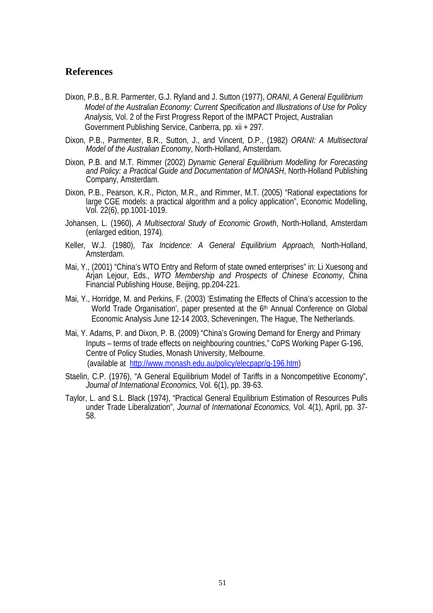#### **References**

- Dixon, P.B., B.R. Parmenter, G.J. Ryland and J. Sutton (1977), *ORANI, A General Equilibrium Model of the Australian Economy: Current Specification and Illustrations of Use for Policy Analysis,* Vol. 2 of the First Progress Report of the IMPACT Project, Australian Government Publishing Service, Canberra, pp. xii + 297.
- Dixon, P.B., Parmenter, B.R., Sutton, J., and Vincent, D.P., (1982) *ORANI: A Multisectoral Model of the Australian Economy*, North-Holland, Amsterdam.
- Dixon, P.B. and M.T. Rimmer (2002) *Dynamic General Equilibrium Modelling for Forecasting and Policy: a Practical Guide and Documentation of MONASH*, North-Holland Publishing Company, Amsterdam.
- Dixon, P.B., Pearson, K.R., Picton, M.R., and Rimmer, M.T. (2005) "Rational expectations for large CGE models: a practical algorithm and a policy application", Economic Modelling, Vol. 22(6), pp.1001-1019.
- Johansen, L. (1960), *A Multisectoral Study of Economic Growth*, North-Holland, Amsterdam (enlarged edition, 1974).
- Keller, W.J. (1980), *Tax Incidence: A General Equilibrium Approach,* North-Holland, Amsterdam.
- Mai, Y., (2001) "China's WTO Entry and Reform of state owned enterprises" in: Li Xuesong and Arjan Lejour, Eds., *WTO Membership and Prospects of Chinese Economy*, China Financial Publishing House, Beijing, pp.204-221.
- Mai, Y., Horridge, M. and Perkins, F. (2003) 'Estimating the Effects of China's accession to the World Trade Organisation', paper presented at the 6<sup>th</sup> Annual Conference on Global Economic Analysis June 12-14 2003, Scheveningen, The Hague, The Netherlands.
- Mai, Y. Adams, P. and Dixon, P. B. (2009) "China's Growing Demand for Energy and Primary Inputs – terms of trade effects on neighbouring countries," CoPS Working Paper G-196, Centre of Policy Studies, Monash University, Melbourne. (available at http://www.monash.edu.au/policy/elecpapr/g-196.htm)
- Staelin, C.P. (1976), "A General Equilibrium Model of Tariffs in a Noncompetitive Economy", *Journal of International Economics,* Vol. 6(1), pp. 39-63.
- Taylor, L. and S.L. Black (1974), "Practical General Equilibrium Estimation of Resources Pulls under Trade Liberalization", *Journal of International Economics,* Vol. 4(1), April, pp. 37- 58.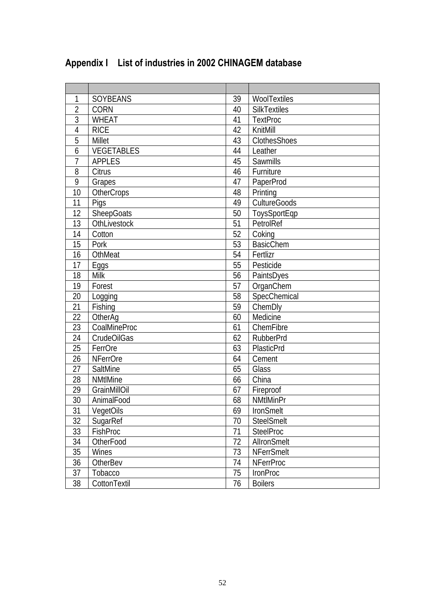| 1              | <b>SOYBEANS</b>   | 39 | WoolTextiles        |
|----------------|-------------------|----|---------------------|
| $\overline{2}$ | <b>CORN</b>       | 40 | <b>SilkTextiles</b> |
| $\overline{3}$ | <b>WHEAT</b>      | 41 | <b>TextProc</b>     |
| 4              | <b>RICE</b>       | 42 | KnitMill            |
| 5              | Millet            | 43 | ClothesShoes        |
| 6              | VEGETABLES        | 44 | Leather             |
| $\overline{1}$ | <b>APPLES</b>     | 45 | Sawmills            |
| 8              | Citrus            | 46 | Furniture           |
| 9              | Grapes            | 47 | PaperProd           |
| 10             | OtherCrops        | 48 | Printing            |
| 11             | Pigs              | 49 | <b>CultureGoods</b> |
| 12             | <b>SheepGoats</b> | 50 | ToysSportEqp        |
| 13             | OthLivestock      | 51 | PetrolRef           |
| 14             | Cotton            | 52 | Coking              |
| 15             | Pork              | 53 | <b>BasicChem</b>    |
| 16             | OthMeat           | 54 | Fertlizr            |
| 17             | Eggs              | 55 | Pesticide           |
| 18             | Milk              | 56 | PaintsDyes          |
| 19             | Forest            | 57 | OrganChem           |
| 20             | Logging           | 58 | SpecChemical        |
| 21             | Fishing           | 59 | ChemDly             |
| 22             | OtherAg           | 60 | Medicine            |
| 23             | CoalMineProc      | 61 | ChemFibre           |
| 24             | CrudeOilGas       | 62 | <b>RubberPrd</b>    |
| 25             | FerrOre           | 63 | PlasticPrd          |
| 26             | <b>NFerrOre</b>   | 64 | Cement              |
| 27             | SaltMine          | 65 | Glass               |
| 28             | <b>NMtIMine</b>   | 66 | China               |
| 29             | GrainMillOil      | 67 | Fireproof           |
| 30             | AnimalFood        | 68 | <b>NMtlMinPr</b>    |
| 31             | VegetOils         | 69 | IronSmelt           |
| 32             | SugarRef          | 70 | <b>SteelSmelt</b>   |
| 33             | <b>FishProc</b>   | 71 | <b>SteelProc</b>    |
| 34             | OtherFood         | 72 | AllronSmelt         |
| 35             | Wines             | 73 | <b>NFerrSmelt</b>   |
| 36             | <b>OtherBev</b>   | 74 | <b>NFerrProc</b>    |
| 37             | Tobacco           | 75 | <b>IronProc</b>     |
| 38             | CottonTextil      | 76 | <b>Boilers</b>      |

## **Appendix I List of industries in 2002 CHINAGEM database**